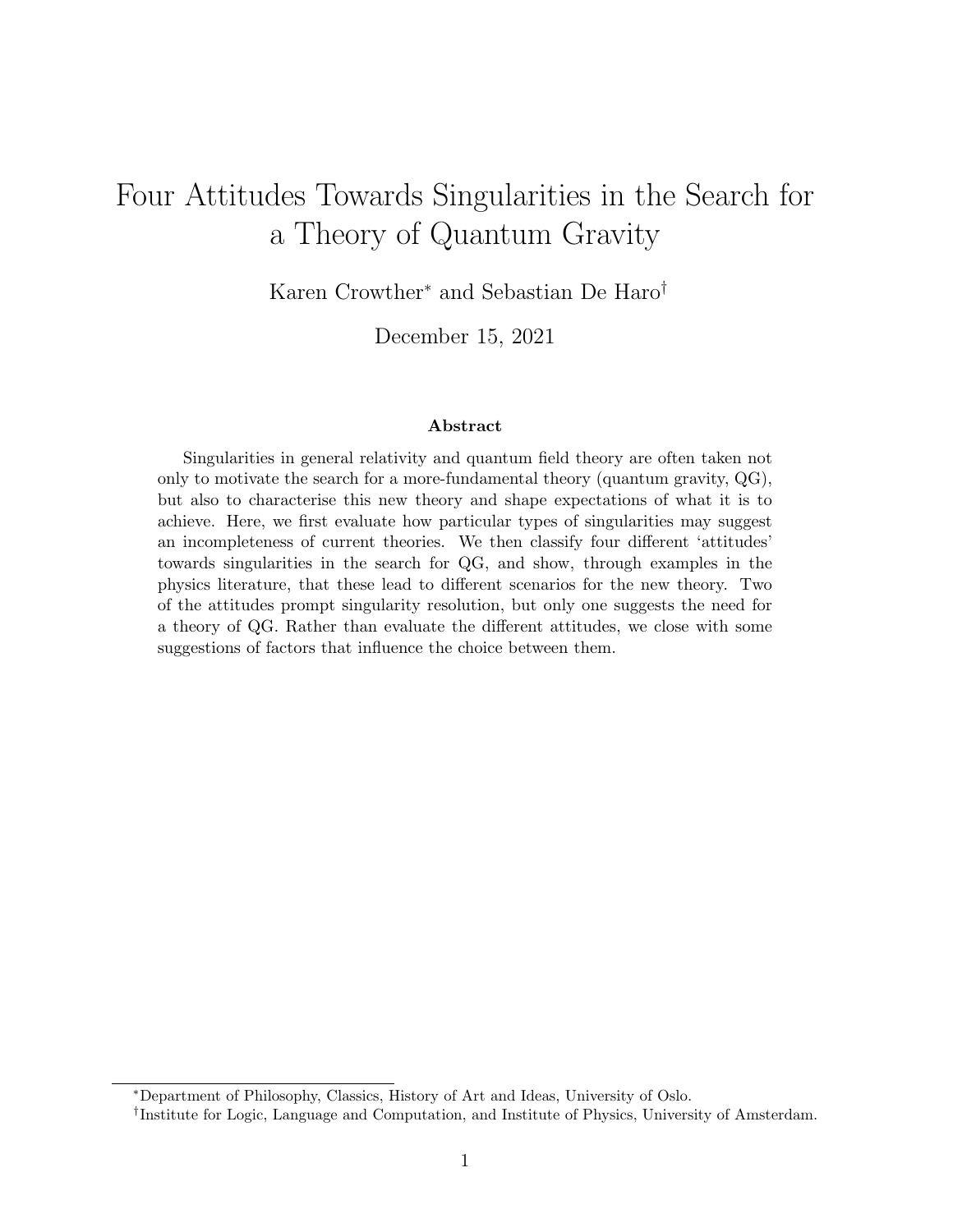# Four Attitudes Towards Singularities in the Search for a Theory of Quantum Gravity

Karen Crowther<sup>∗</sup> and Sebastian De Haro†

December 15, 2021

#### Abstract

Singularities in general relativity and quantum field theory are often taken not only to motivate the search for a more-fundamental theory (quantum gravity, QG), but also to characterise this new theory and shape expectations of what it is to achieve. Here, we first evaluate how particular types of singularities may suggest an incompleteness of current theories. We then classify four different 'attitudes' towards singularities in the search for QG, and show, through examples in the physics literature, that these lead to different scenarios for the new theory. Two of the attitudes prompt singularity resolution, but only one suggests the need for a theory of QG. Rather than evaluate the different attitudes, we close with some suggestions of factors that influence the choice between them.

<sup>∗</sup>Department of Philosophy, Classics, History of Art and Ideas, University of Oslo.

<sup>†</sup> Institute for Logic, Language and Computation, and Institute of Physics, University of Amsterdam.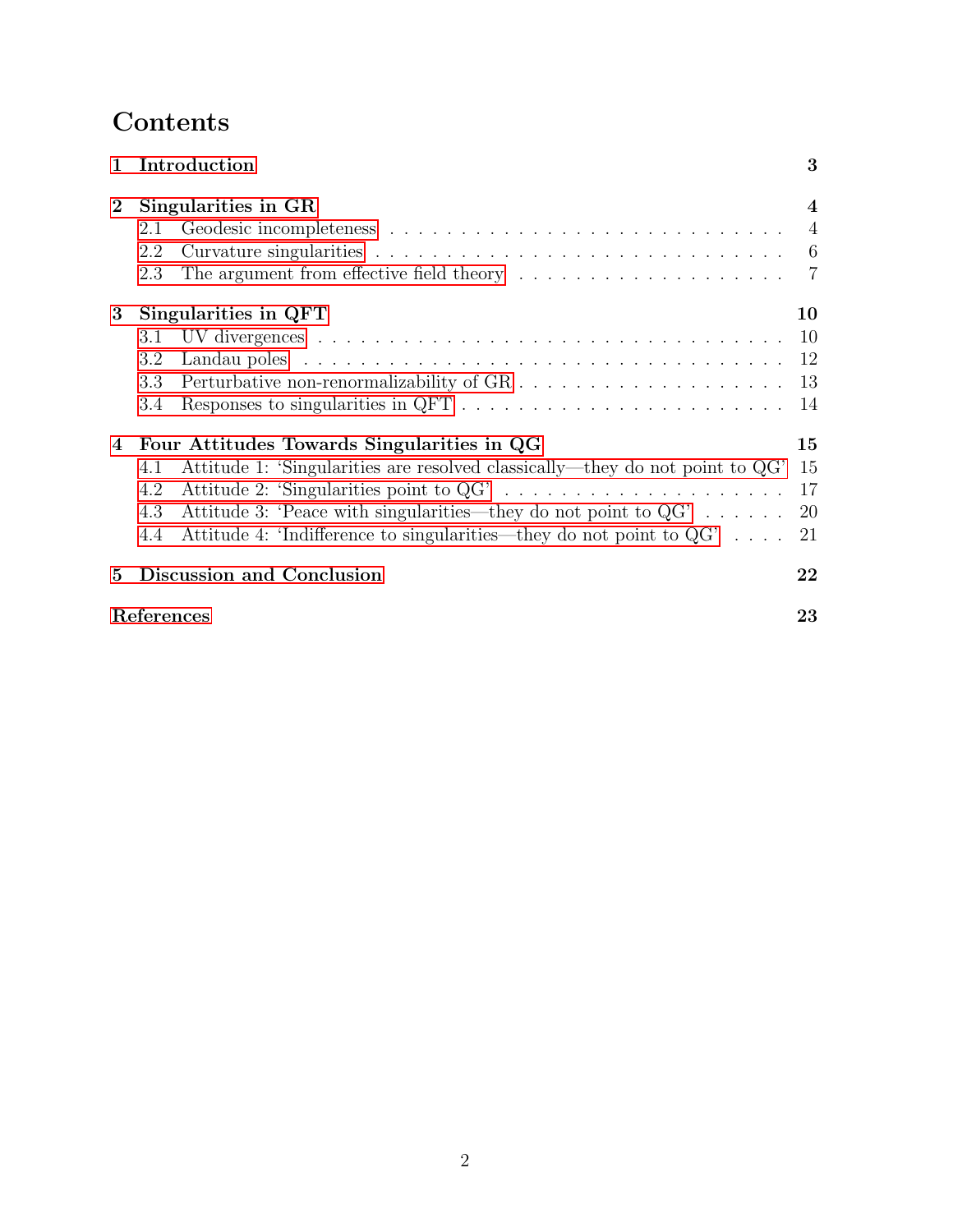# Contents

| $\mathbf{1}$ | Introduction                                                                                                                                                                                                                                                                                                                                                                                                         | 3                                                  |
|--------------|----------------------------------------------------------------------------------------------------------------------------------------------------------------------------------------------------------------------------------------------------------------------------------------------------------------------------------------------------------------------------------------------------------------------|----------------------------------------------------|
| $\bf{2}$     | Singularities in GR<br>2.1<br>2.2<br>The argument from effective field theory $\dots \dots \dots \dots \dots \dots \dots$<br>2.3                                                                                                                                                                                                                                                                                     | $\overline{4}$<br>$\overline{4}$<br>$\overline{7}$ |
| 3            | Singularities in QFT<br>3.1<br>3.2<br>3.3<br>Responses to singularities in QFT $\dots \dots \dots \dots \dots \dots \dots \dots \dots$<br>3.4                                                                                                                                                                                                                                                                        | 10<br>10<br>12<br>14                               |
| 4            | Four Attitudes Towards Singularities in QG<br>Attitude 1: 'Singularities are resolved classically—they do not point to QG'<br>4.1<br>Attitude 2: 'Singularities point to $QG' \dots \dots \dots \dots \dots \dots \dots \dots$<br>4.2<br>Attitude 3: 'Peace with singularities—they do not point to $QG' \dots \dots$<br>4.3<br>Attitude 4: 'Indifference to singularities—they do not point to $QG' \dots$ .<br>4.4 | 15<br>15<br>17<br>20<br>21                         |
| 5            | Discussion and Conclusion                                                                                                                                                                                                                                                                                                                                                                                            | 22                                                 |
|              | References                                                                                                                                                                                                                                                                                                                                                                                                           |                                                    |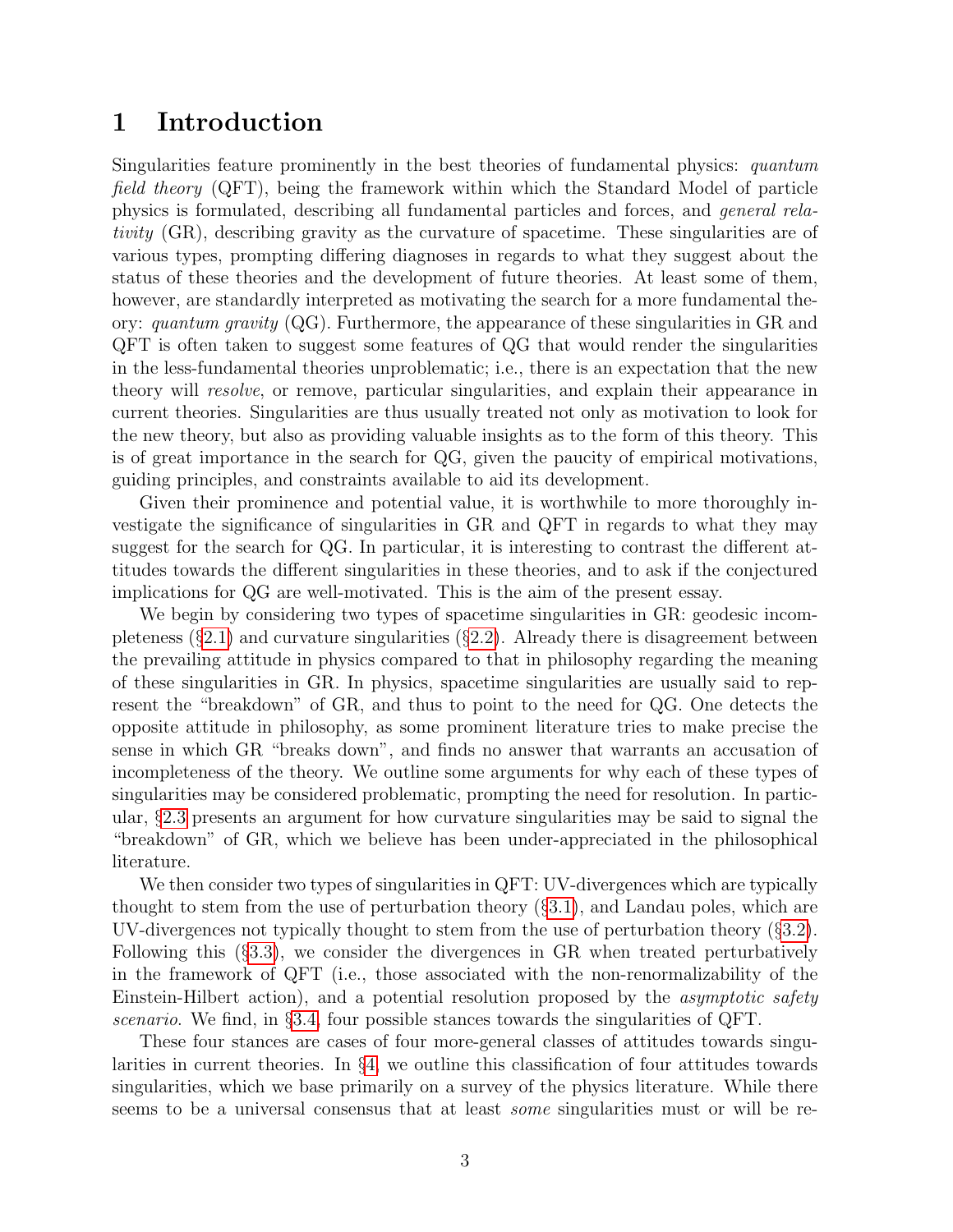## <span id="page-2-0"></span>1 Introduction

Singularities feature prominently in the best theories of fundamental physics: quantum field theory (QFT), being the framework within which the Standard Model of particle physics is formulated, describing all fundamental particles and forces, and general relativity (GR), describing gravity as the curvature of spacetime. These singularities are of various types, prompting differing diagnoses in regards to what they suggest about the status of these theories and the development of future theories. At least some of them, however, are standardly interpreted as motivating the search for a more fundamental theory: quantum gravity  $(QG)$ . Furthermore, the appearance of these singularities in GR and QFT is often taken to suggest some features of QG that would render the singularities in the less-fundamental theories unproblematic; i.e., there is an expectation that the new theory will resolve, or remove, particular singularities, and explain their appearance in current theories. Singularities are thus usually treated not only as motivation to look for the new theory, but also as providing valuable insights as to the form of this theory. This is of great importance in the search for QG, given the paucity of empirical motivations, guiding principles, and constraints available to aid its development.

Given their prominence and potential value, it is worthwhile to more thoroughly investigate the significance of singularities in GR and QFT in regards to what they may suggest for the search for QG. In particular, it is interesting to contrast the different attitudes towards the different singularities in these theories, and to ask if the conjectured implications for QG are well-motivated. This is the aim of the present essay.

We begin by considering two types of spacetime singularities in GR: geodesic incompleteness  $(\S 2.1)$  $(\S 2.1)$  and curvature singularities  $(\S 2.2)$  $(\S 2.2)$ . Already there is disagreement between the prevailing attitude in physics compared to that in philosophy regarding the meaning of these singularities in GR. In physics, spacetime singularities are usually said to represent the "breakdown" of GR, and thus to point to the need for QG. One detects the opposite attitude in philosophy, as some prominent literature tries to make precise the sense in which GR "breaks down", and finds no answer that warrants an accusation of incompleteness of the theory. We outline some arguments for why each of these types of singularities may be considered problematic, prompting the need for resolution. In particular, §[2.3](#page-6-0) presents an argument for how curvature singularities may be said to signal the "breakdown" of GR, which we believe has been under-appreciated in the philosophical literature.

We then consider two types of singularities in QFT: UV-divergences which are typically thought to stem from the use of perturbation theory  $(\S 3.1)$  $(\S 3.1)$ , and Landau poles, which are UV-divergences not typically thought to stem from the use of perturbation theory (§[3.2\)](#page-11-0). Following this (§[3.3\)](#page-12-0), we consider the divergences in GR when treated perturbatively in the framework of QFT (i.e., those associated with the non-renormalizability of the Einstein-Hilbert action), and a potential resolution proposed by the *asymptotic safety* scenario. We find, in §[3.4,](#page-13-0) four possible stances towards the singularities of QFT.

These four stances are cases of four more-general classes of attitudes towards singularities in current theories. In §[4,](#page-14-0) we outline this classification of four attitudes towards singularities, which we base primarily on a survey of the physics literature. While there seems to be a universal consensus that at least *some* singularities must or will be re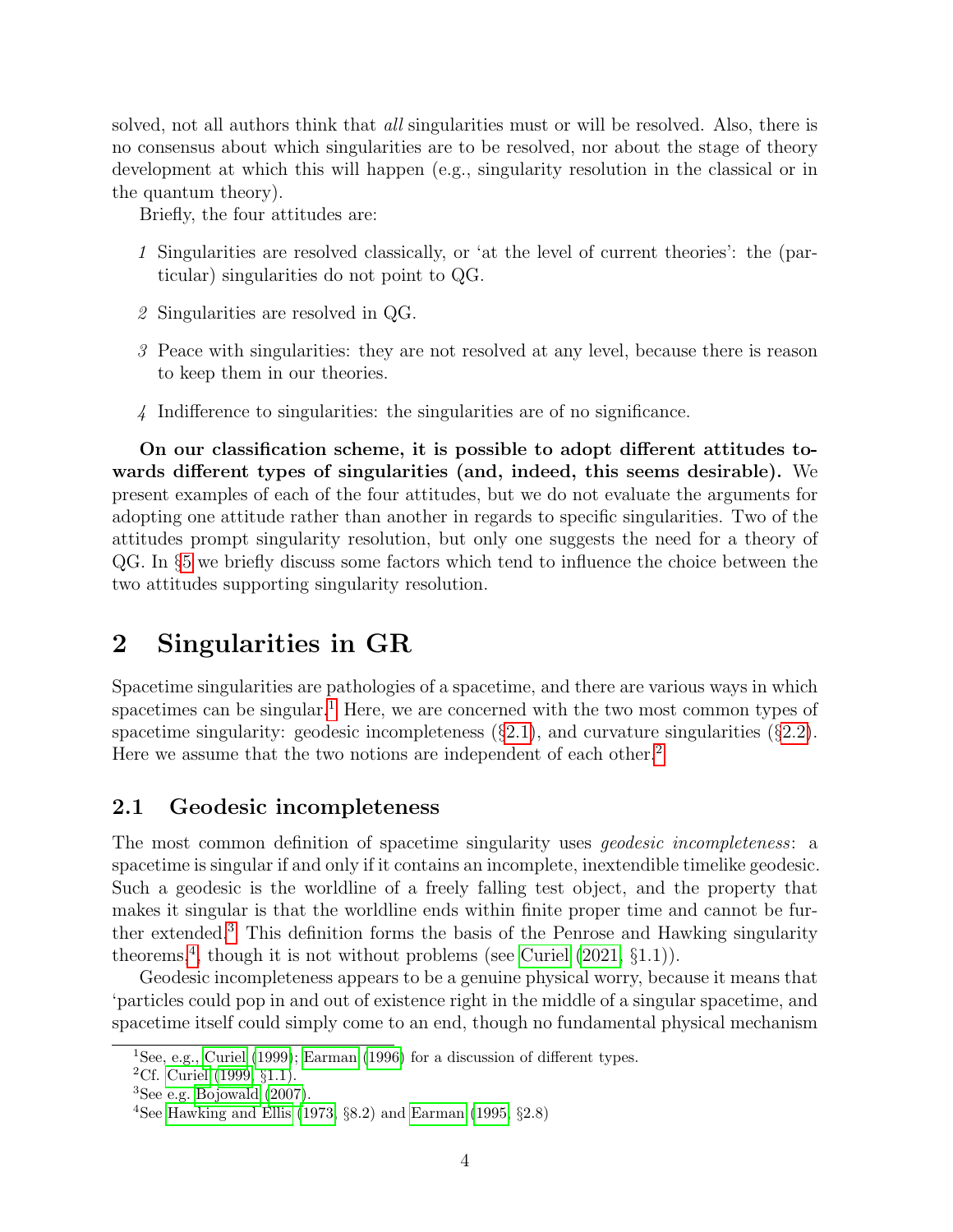solved, not all authors think that *all* singularities must or will be resolved. Also, there is no consensus about which singularities are to be resolved, nor about the stage of theory development at which this will happen (e.g., singularity resolution in the classical or in the quantum theory).

Briefly, the four attitudes are:

- 1 Singularities are resolved classically, or 'at the level of current theories': the (particular) singularities do not point to QG.
- 2 Singularities are resolved in QG.
- 3 Peace with singularities: they are not resolved at any level, because there is reason to keep them in our theories.
- 4 Indifference to singularities: the singularities are of no significance.

On our classification scheme, it is possible to adopt different attitudes towards different types of singularities (and, indeed, this seems desirable). We present examples of each of the four attitudes, but we do not evaluate the arguments for adopting one attitude rather than another in regards to specific singularities. Two of the attitudes prompt singularity resolution, but only one suggests the need for a theory of QG. In §[5](#page-21-0) we briefly discuss some factors which tend to influence the choice between the two attitudes supporting singularity resolution.

## <span id="page-3-0"></span>2 Singularities in GR

Spacetime singularities are pathologies of a spacetime, and there are various ways in which spacetimes can be singular.<sup>[1](#page-3-2)</sup> Here, we are concerned with the two most common types of spacetime singularity: geodesic incompleteness  $(\S2.1)$  $(\S2.1)$ , and curvature singularities  $(\S2.2)$  $(\S2.2)$ . Here we assume that the two notions are independent of each other.<sup>[2](#page-3-3)</sup>

## <span id="page-3-1"></span>2.1 Geodesic incompleteness

The most common definition of spacetime singularity uses *geodesic incompleteness*: a spacetime is singular if and only if it contains an incomplete, inextendible timelike geodesic. Such a geodesic is the worldline of a freely falling test object, and the property that makes it singular is that the worldline ends within finite proper time and cannot be further extended.[3](#page-3-4) This definition forms the basis of the Penrose and Hawking singularity theorems,<sup>[4](#page-3-5)</sup>, though it is not without problems (see [Curiel](#page-23-0)  $(2021, \S1.1)$  $(2021, \S1.1)$ ).

Geodesic incompleteness appears to be a genuine physical worry, because it means that 'particles could pop in and out of existence right in the middle of a singular spacetime, and spacetime itself could simply come to an end, though no fundamental physical mechanism

<span id="page-3-2"></span><sup>&</sup>lt;sup>1</sup>See, e.g., [Curiel](#page-23-1) [\(1999\)](#page-23-1); [Earman](#page-23-2) [\(1996\)](#page-23-2) for a discussion of different types.

<span id="page-3-3"></span><sup>&</sup>lt;sup>2</sup>Cf. [Curiel](#page-23-1) [\(1999,](#page-23-1)  $\S 1.1$ ).

<span id="page-3-4"></span><sup>3</sup>See e.g. [Bojowald](#page-22-1) [\(2007\)](#page-22-1).

<span id="page-3-5"></span><sup>&</sup>lt;sup>4</sup>See [Hawking and Ellis](#page-24-0) [\(1973,](#page-24-0)  $\S 8.2$ ) and [Earman](#page-23-3) [\(1995,](#page-23-3)  $\S 2.8$ )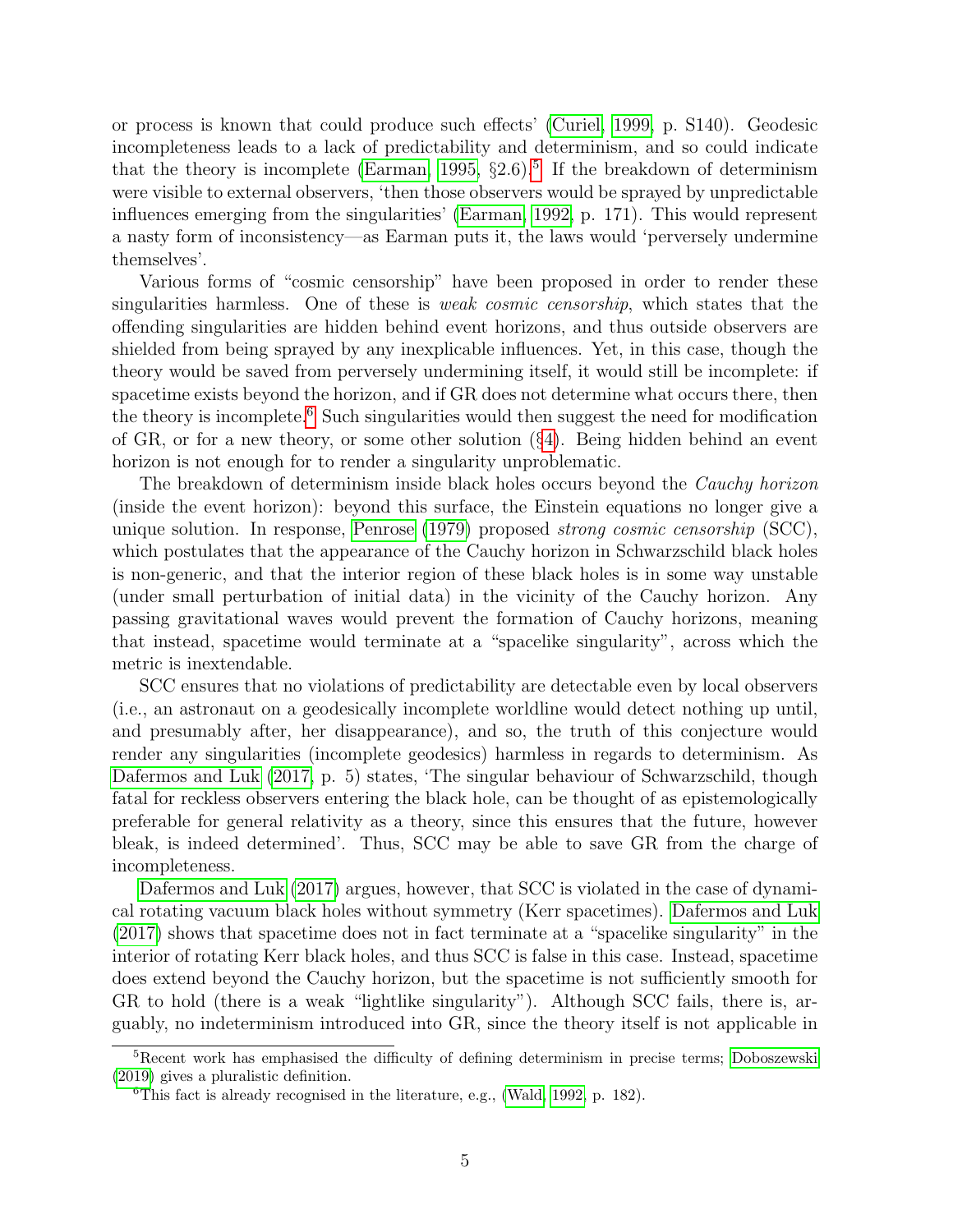or process is known that could produce such effects' [\(Curiel, 1999,](#page-23-1) p. S140). Geodesic incompleteness leads to a lack of predictability and determinism, and so could indicate that the theory is incomplete [\(Earman, 1995,](#page-23-3)  $\S 2.6$ ).<sup>[5](#page-4-0)</sup> If the breakdown of determinism were visible to external observers, 'then those observers would be sprayed by unpredictable influences emerging from the singularities' [\(Earman, 1992,](#page-23-4) p. 171). This would represent a nasty form of inconsistency—as Earman puts it, the laws would 'perversely undermine themselves'.

Various forms of "cosmic censorship" have been proposed in order to render these singularities harmless. One of these is *weak cosmic censorship*, which states that the offending singularities are hidden behind event horizons, and thus outside observers are shielded from being sprayed by any inexplicable influences. Yet, in this case, though the theory would be saved from perversely undermining itself, it would still be incomplete: if spacetime exists beyond the horizon, and if GR does not determine what occurs there, then the theory is incomplete.[6](#page-4-1) Such singularities would then suggest the need for modification of GR, or for a new theory, or some other solution  $(\S 4)$  $(\S 4)$ . Being hidden behind an event horizon is not enough for to render a singularity unproblematic.

The breakdown of determinism inside black holes occurs beyond the *Cauchy horizon* (inside the event horizon): beyond this surface, the Einstein equations no longer give a unique solution. In response, [Penrose](#page-25-0) [\(1979\)](#page-25-0) proposed strong cosmic censorship (SCC), which postulates that the appearance of the Cauchy horizon in Schwarzschild black holes is non-generic, and that the interior region of these black holes is in some way unstable (under small perturbation of initial data) in the vicinity of the Cauchy horizon. Any passing gravitational waves would prevent the formation of Cauchy horizons, meaning that instead, spacetime would terminate at a "spacelike singularity", across which the metric is inextendable.

SCC ensures that no violations of predictability are detectable even by local observers (i.e., an astronaut on a geodesically incomplete worldline would detect nothing up until, and presumably after, her disappearance), and so, the truth of this conjecture would render any singularities (incomplete geodesics) harmless in regards to determinism. As [Dafermos and Luk](#page-23-5) [\(2017,](#page-23-5) p. 5) states, 'The singular behaviour of Schwarzschild, though fatal for reckless observers entering the black hole, can be thought of as epistemologically preferable for general relativity as a theory, since this ensures that the future, however bleak, is indeed determined'. Thus, SCC may be able to save GR from the charge of incompleteness.

[Dafermos and Luk](#page-23-5) [\(2017\)](#page-23-5) argues, however, that SCC is violated in the case of dynamical rotating vacuum black holes without symmetry (Kerr spacetimes). [Dafermos and Luk](#page-23-5) [\(2017\)](#page-23-5) shows that spacetime does not in fact terminate at a "spacelike singularity" in the interior of rotating Kerr black holes, and thus SCC is false in this case. Instead, spacetime does extend beyond the Cauchy horizon, but the spacetime is not sufficiently smooth for GR to hold (there is a weak "lightlike singularity"). Although SCC fails, there is, arguably, no indeterminism introduced into GR, since the theory itself is not applicable in

<span id="page-4-0"></span><sup>5</sup>Recent work has emphasised the difficulty of defining determinism in precise terms; [Doboszewski](#page-23-6) [\(2019\)](#page-23-6) gives a pluralistic definition.

<span id="page-4-1"></span> ${}^{6}$ This fact is already recognised in the literature, e.g., [\(Wald, 1992,](#page-25-1) p. 182).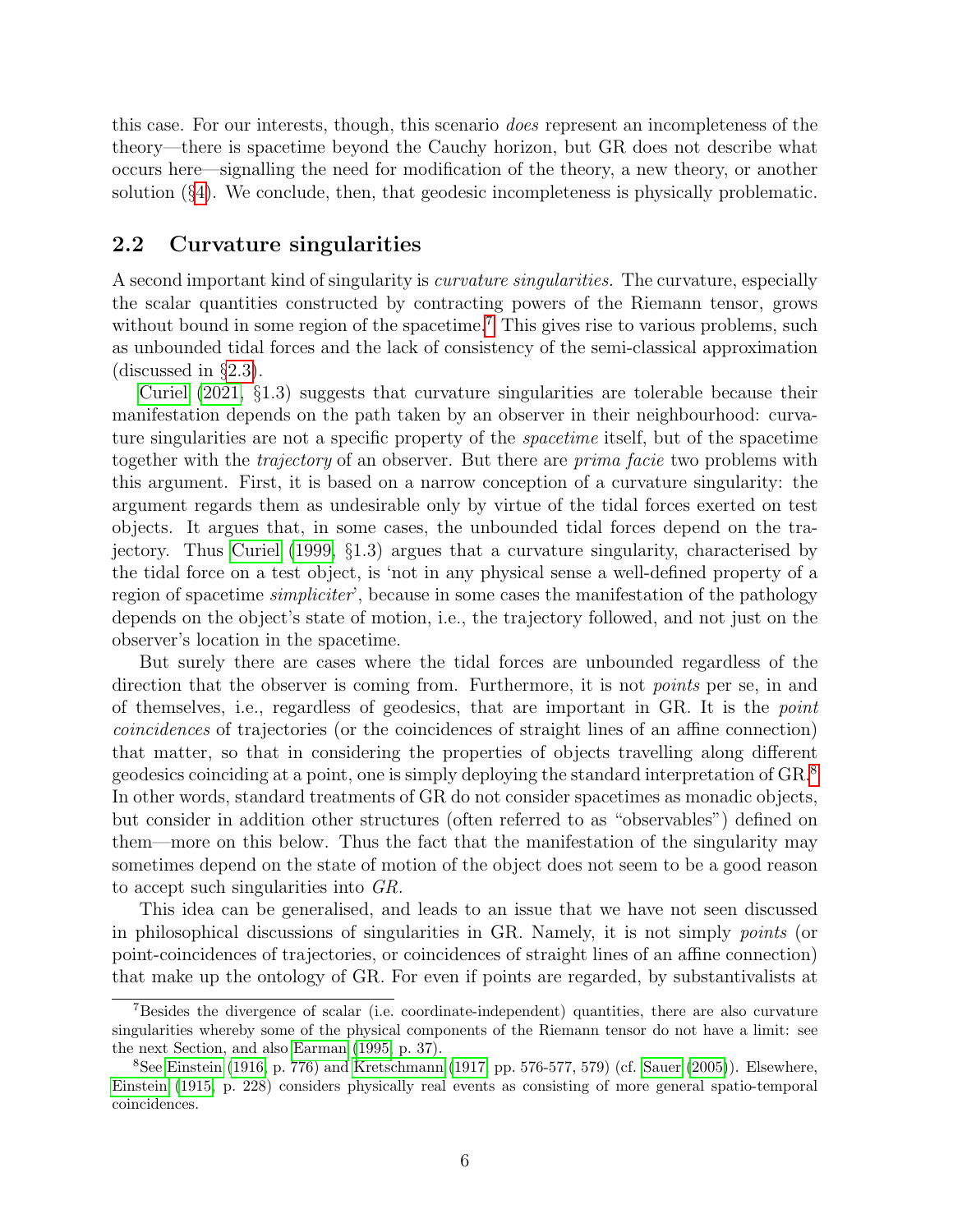this case. For our interests, though, this scenario does represent an incompleteness of the theory—there is spacetime beyond the Cauchy horizon, but GR does not describe what occurs here—signalling the need for modification of the theory, a new theory, or another solution (§[4\)](#page-14-0). We conclude, then, that geodesic incompleteness is physically problematic.

#### <span id="page-5-0"></span>2.2 Curvature singularities

A second important kind of singularity is curvature singularities. The curvature, especially the scalar quantities constructed by contracting powers of the Riemann tensor, grows without bound in some region of the spacetime.<sup>[7](#page-5-1)</sup> This gives rise to various problems, such as unbounded tidal forces and the lack of consistency of the semi-classical approximation (discussed in §[2.3\)](#page-6-0).

[Curiel](#page-23-0) [\(2021,](#page-23-0) §1.3) suggests that curvature singularities are tolerable because their manifestation depends on the path taken by an observer in their neighbourhood: curvature singularities are not a specific property of the spacetime itself, but of the spacetime together with the trajectory of an observer. But there are prima facie two problems with this argument. First, it is based on a narrow conception of a curvature singularity: the argument regards them as undesirable only by virtue of the tidal forces exerted on test objects. It argues that, in some cases, the unbounded tidal forces depend on the trajectory. Thus [Curiel](#page-23-1) [\(1999,](#page-23-1) §1.3) argues that a curvature singularity, characterised by the tidal force on a test object, is 'not in any physical sense a well-defined property of a region of spacetime *simpliciter'*, because in some cases the manifestation of the pathology depends on the object's state of motion, i.e., the trajectory followed, and not just on the observer's location in the spacetime.

But surely there are cases where the tidal forces are unbounded regardless of the direction that the observer is coming from. Furthermore, it is not *points* per se, in and of themselves, i.e., regardless of geodesics, that are important in GR. It is the point coincidences of trajectories (or the coincidences of straight lines of an affine connection) that matter, so that in considering the properties of objects travelling along different geodesics coinciding at a point, one is simply deploying the standard interpretation of GR.[8](#page-5-2) In other words, standard treatments of GR do not consider spacetimes as monadic objects, but consider in addition other structures (often referred to as "observables") defined on them—more on this below. Thus the fact that the manifestation of the singularity may sometimes depend on the state of motion of the object does not seem to be a good reason to accept such singularities into GR.

This idea can be generalised, and leads to an issue that we have not seen discussed in philosophical discussions of singularities in GR. Namely, it is not simply points (or point-coincidences of trajectories, or coincidences of straight lines of an affine connection) that make up the ontology of GR. For even if points are regarded, by substantivalists at

<span id="page-5-1"></span><sup>7</sup>Besides the divergence of scalar (i.e. coordinate-independent) quantities, there are also curvature singularities whereby some of the physical components of the Riemann tensor do not have a limit: see the next Section, and also [Earman](#page-23-3) [\(1995,](#page-23-3) p. 37).

<span id="page-5-2"></span><sup>&</sup>lt;sup>8</sup>See [Einstein](#page-23-7) [\(1916,](#page-23-7) p. 776) and [Kretschmann](#page-25-2) [\(1917,](#page-25-2) pp. 576-577, 579) (cf. [Sauer](#page-25-3) [\(2005\)](#page-25-3)). Elsewhere, [Einstein](#page-23-8) [\(1915,](#page-23-8) p. 228) considers physically real events as consisting of more general spatio-temporal coincidences.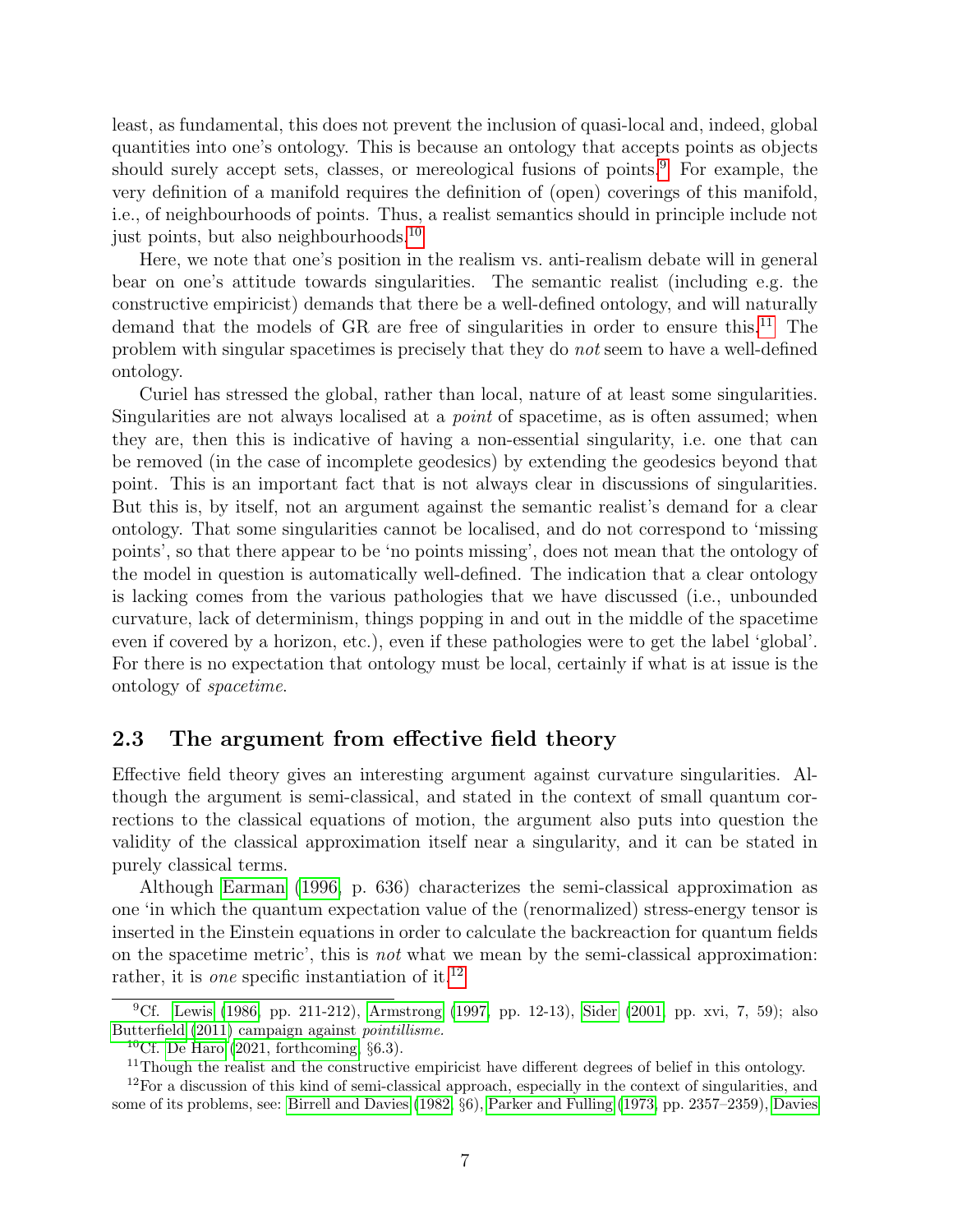least, as fundamental, this does not prevent the inclusion of quasi-local and, indeed, global quantities into one's ontology. This is because an ontology that accepts points as objects should surely accept sets, classes, or mereological fusions of points.<sup>[9](#page-6-1)</sup> For example, the very definition of a manifold requires the definition of (open) coverings of this manifold, i.e., of neighbourhoods of points. Thus, a realist semantics should in principle include not just points, but also neighbourhoods.[10](#page-6-2)

Here, we note that one's position in the realism vs. anti-realism debate will in general bear on one's attitude towards singularities. The semantic realist (including e.g. the constructive empiricist) demands that there be a well-defined ontology, and will naturally demand that the models of GR are free of singularities in order to ensure this.<sup>[11](#page-6-3)</sup> The problem with singular spacetimes is precisely that they do not seem to have a well-defined ontology.

Curiel has stressed the global, rather than local, nature of at least some singularities. Singularities are not always localised at a point of spacetime, as is often assumed; when they are, then this is indicative of having a non-essential singularity, i.e. one that can be removed (in the case of incomplete geodesics) by extending the geodesics beyond that point. This is an important fact that is not always clear in discussions of singularities. But this is, by itself, not an argument against the semantic realist's demand for a clear ontology. That some singularities cannot be localised, and do not correspond to 'missing points', so that there appear to be 'no points missing', does not mean that the ontology of the model in question is automatically well-defined. The indication that a clear ontology is lacking comes from the various pathologies that we have discussed (i.e., unbounded curvature, lack of determinism, things popping in and out in the middle of the spacetime even if covered by a horizon, etc.), even if these pathologies were to get the label 'global'. For there is no expectation that ontology must be local, certainly if what is at issue is the ontology of spacetime.

#### <span id="page-6-0"></span>2.3 The argument from effective field theory

Effective field theory gives an interesting argument against curvature singularities. Although the argument is semi-classical, and stated in the context of small quantum corrections to the classical equations of motion, the argument also puts into question the validity of the classical approximation itself near a singularity, and it can be stated in purely classical terms.

Although [Earman](#page-23-2) [\(1996,](#page-23-2) p. 636) characterizes the semi-classical approximation as one 'in which the quantum expectation value of the (renormalized) stress-energy tensor is inserted in the Einstein equations in order to calculate the backreaction for quantum fields on the spacetime metric', this is not what we mean by the semi-classical approximation: rather, it is *one* specific instantiation of it.<sup>[12](#page-6-4)</sup>

<span id="page-6-1"></span><sup>&</sup>lt;sup>9</sup>Cf. [Lewis](#page-25-4) [\(1986,](#page-25-4) pp. 211-212), [Armstrong](#page-22-2) [\(1997,](#page-22-2) pp. 12-13), [Sider](#page-25-5) [\(2001,](#page-25-5) pp. xvi, 7, 59); also [Butterfield](#page-23-9) [\(2011\)](#page-23-9) campaign against pointillisme.

<span id="page-6-2"></span><sup>&</sup>lt;sup>10</sup>Cf. [De Haro](#page-23-10)  $(2021, \text{ forthcoming}, \S6.3)$ .

<span id="page-6-4"></span><span id="page-6-3"></span><sup>&</sup>lt;sup>11</sup>Though the realist and the constructive empiricist have different degrees of belief in this ontology.

 $12$ For a discussion of this kind of semi-classical approach, especially in the context of singularities, and some of its problems, see: [Birrell and Davies](#page-22-3) [\(1982,](#page-22-3) §6), [Parker and Fulling](#page-25-6) [\(1973,](#page-25-6) pp. 2357–2359), [Davies](#page-23-11)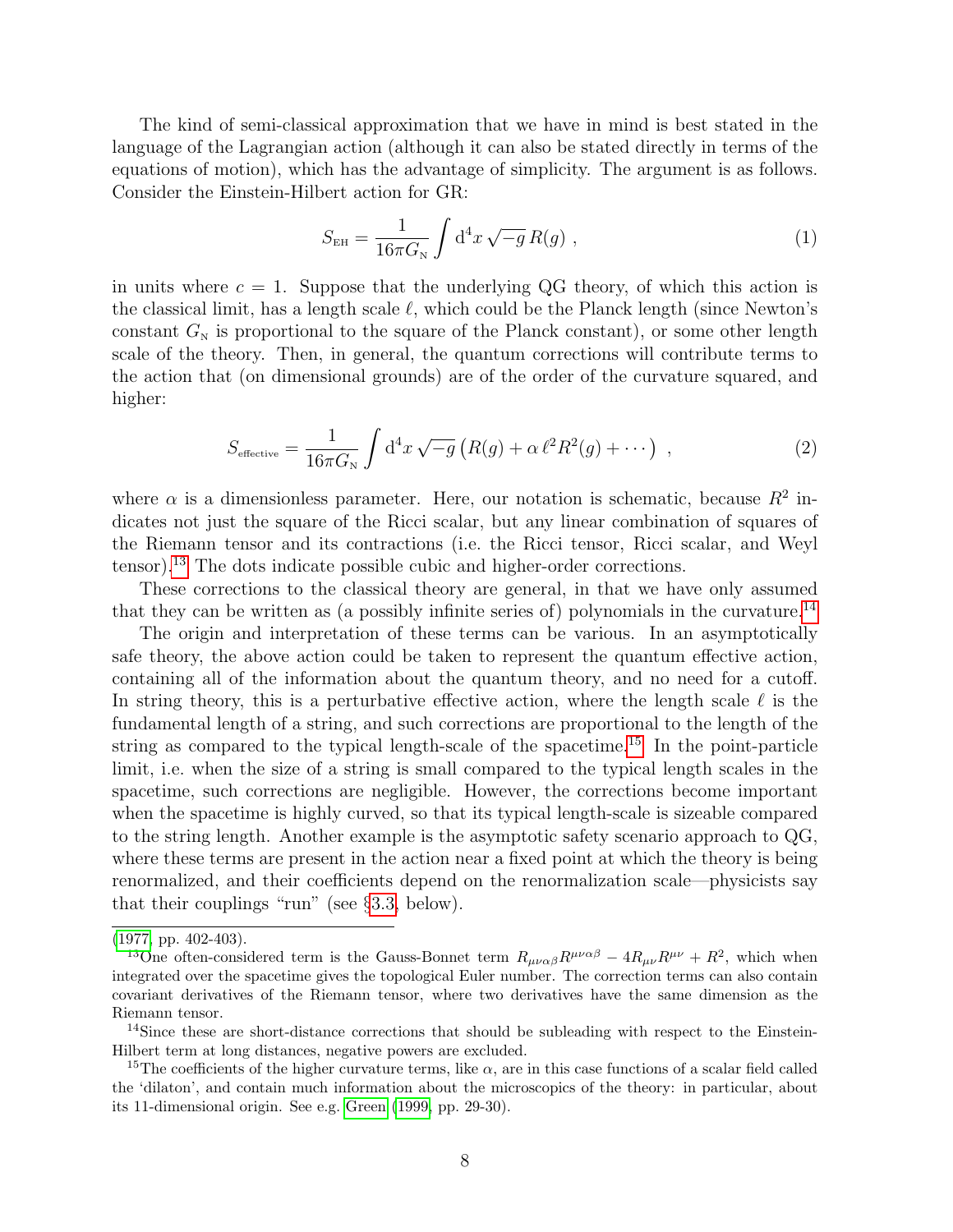The kind of semi-classical approximation that we have in mind is best stated in the language of the Lagrangian action (although it can also be stated directly in terms of the equations of motion), which has the advantage of simplicity. The argument is as follows. Consider the Einstein-Hilbert action for GR:

<span id="page-7-4"></span>
$$
S_{\text{EH}} = \frac{1}{16\pi G_{\text{N}}} \int \mathrm{d}^4 x \sqrt{-g} R(g) , \qquad (1)
$$

in units where  $c = 1$ . Suppose that the underlying QG theory, of which this action is the classical limit, has a length scale  $\ell$ , which could be the Planck length (since Newton's constant  $G_N$  is proportional to the square of the Planck constant), or some other length scale of the theory. Then, in general, the quantum corrections will contribute terms to the action that (on dimensional grounds) are of the order of the curvature squared, and higher:

<span id="page-7-3"></span>
$$
S_{\text{effective}} = \frac{1}{16\pi G_{\text{N}}} \int \mathrm{d}^4 x \sqrt{-g} \left( R(g) + \alpha \,\ell^2 R^2(g) + \cdots \right) \;, \tag{2}
$$

where  $\alpha$  is a dimensionless parameter. Here, our notation is schematic, because  $R^2$  indicates not just the square of the Ricci scalar, but any linear combination of squares of the Riemann tensor and its contractions (i.e. the Ricci tensor, Ricci scalar, and Weyl tensor).[13](#page-7-0) The dots indicate possible cubic and higher-order corrections.

These corrections to the classical theory are general, in that we have only assumed that they can be written as (a possibly infinite series of) polynomials in the curvature.<sup>[14](#page-7-1)</sup>

The origin and interpretation of these terms can be various. In an asymptotically safe theory, the above action could be taken to represent the quantum effective action, containing all of the information about the quantum theory, and no need for a cutoff. In string theory, this is a perturbative effective action, where the length scale  $\ell$  is the fundamental length of a string, and such corrections are proportional to the length of the string as compared to the typical length-scale of the spacetime.<sup>[15](#page-7-2)</sup> In the point-particle limit, i.e. when the size of a string is small compared to the typical length scales in the spacetime, such corrections are negligible. However, the corrections become important when the spacetime is highly curved, so that its typical length-scale is sizeable compared to the string length. Another example is the asymptotic safety scenario approach to QG, where these terms are present in the action near a fixed point at which the theory is being renormalized, and their coefficients depend on the renormalization scale—physicists say that their couplings "run" (see §[3.3,](#page-12-0) below).

[<sup>\(1977,</sup>](#page-23-11) pp. 402-403).

<span id="page-7-0"></span><sup>&</sup>lt;sup>13</sup>One often-considered term is the Gauss-Bonnet term  $R_{\mu\nu\alpha\beta}R^{\mu\nu\alpha\beta} - 4R_{\mu\nu}R^{\mu\nu} + R^2$ , which when integrated over the spacetime gives the topological Euler number. The correction terms can also contain covariant derivatives of the Riemann tensor, where two derivatives have the same dimension as the Riemann tensor.

<span id="page-7-1"></span><sup>&</sup>lt;sup>14</sup>Since these are short-distance corrections that should be subleading with respect to the Einstein-Hilbert term at long distances, negative powers are excluded.

<span id="page-7-2"></span><sup>&</sup>lt;sup>15</sup>The coefficients of the higher curvature terms, like  $\alpha$ , are in this case functions of a scalar field called the 'dilaton', and contain much information about the microscopics of the theory: in particular, about its 11-dimensional origin. See e.g. [Green](#page-24-1) [\(1999,](#page-24-1) pp. 29-30).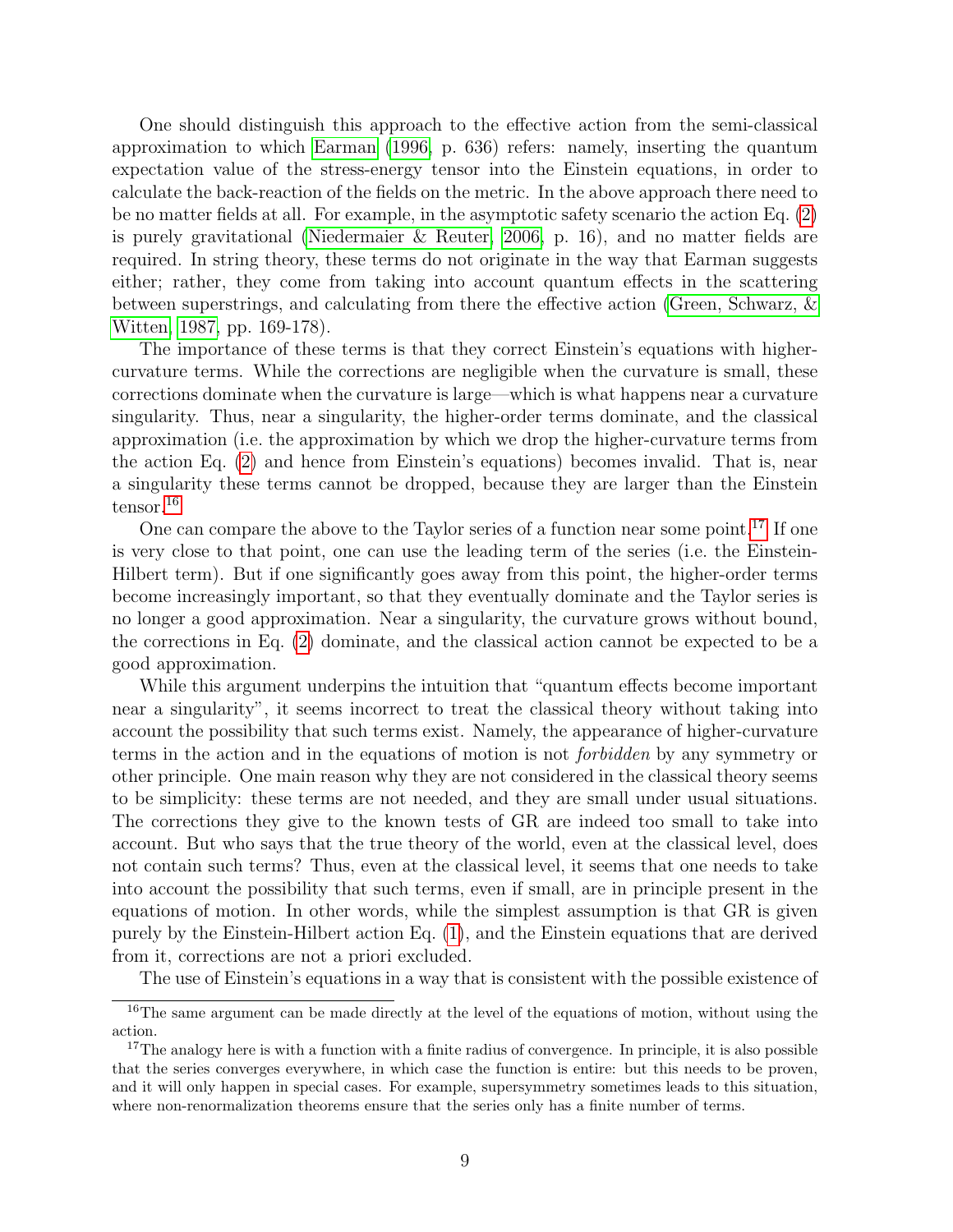One should distinguish this approach to the effective action from the semi-classical approximation to which [Earman](#page-23-2) [\(1996,](#page-23-2) p. 636) refers: namely, inserting the quantum expectation value of the stress-energy tensor into the Einstein equations, in order to calculate the back-reaction of the fields on the metric. In the above approach there need to be no matter fields at all. For example, in the asymptotic safety scenario the action Eq. [\(2\)](#page-7-3) is purely gravitational [\(Niedermaier & Reuter, 2006,](#page-25-7) p. 16), and no matter fields are required. In string theory, these terms do not originate in the way that Earman suggests either; rather, they come from taking into account quantum effects in the scattering between superstrings, and calculating from there the effective action [\(Green, Schwarz, &](#page-24-2) [Witten, 1987,](#page-24-2) pp. 169-178).

The importance of these terms is that they correct Einstein's equations with highercurvature terms. While the corrections are negligible when the curvature is small, these corrections dominate when the curvature is large—which is what happens near a curvature singularity. Thus, near a singularity, the higher-order terms dominate, and the classical approximation (i.e. the approximation by which we drop the higher-curvature terms from the action Eq. [\(2\)](#page-7-3) and hence from Einstein's equations) becomes invalid. That is, near a singularity these terms cannot be dropped, because they are larger than the Einstein tensor.<sup>[16](#page-8-0)</sup>

One can compare the above to the Taylor series of a function near some point.<sup>[17](#page-8-1)</sup> If one is very close to that point, one can use the leading term of the series (i.e. the Einstein-Hilbert term). But if one significantly goes away from this point, the higher-order terms become increasingly important, so that they eventually dominate and the Taylor series is no longer a good approximation. Near a singularity, the curvature grows without bound, the corrections in Eq. [\(2\)](#page-7-3) dominate, and the classical action cannot be expected to be a good approximation.

While this argument underpins the intuition that "quantum effects become important near a singularity", it seems incorrect to treat the classical theory without taking into account the possibility that such terms exist. Namely, the appearance of higher-curvature terms in the action and in the equations of motion is not forbidden by any symmetry or other principle. One main reason why they are not considered in the classical theory seems to be simplicity: these terms are not needed, and they are small under usual situations. The corrections they give to the known tests of GR are indeed too small to take into account. But who says that the true theory of the world, even at the classical level, does not contain such terms? Thus, even at the classical level, it seems that one needs to take into account the possibility that such terms, even if small, are in principle present in the equations of motion. In other words, while the simplest assumption is that GR is given purely by the Einstein-Hilbert action Eq. [\(1\)](#page-7-4), and the Einstein equations that are derived from it, corrections are not a priori excluded.

<span id="page-8-0"></span>The use of Einstein's equations in a way that is consistent with the possible existence of

<sup>&</sup>lt;sup>16</sup>The same argument can be made directly at the level of the equations of motion, without using the action.

<span id="page-8-1"></span><sup>&</sup>lt;sup>17</sup>The analogy here is with a function with a finite radius of convergence. In principle, it is also possible that the series converges everywhere, in which case the function is entire: but this needs to be proven, and it will only happen in special cases. For example, supersymmetry sometimes leads to this situation, where non-renormalization theorems ensure that the series only has a finite number of terms.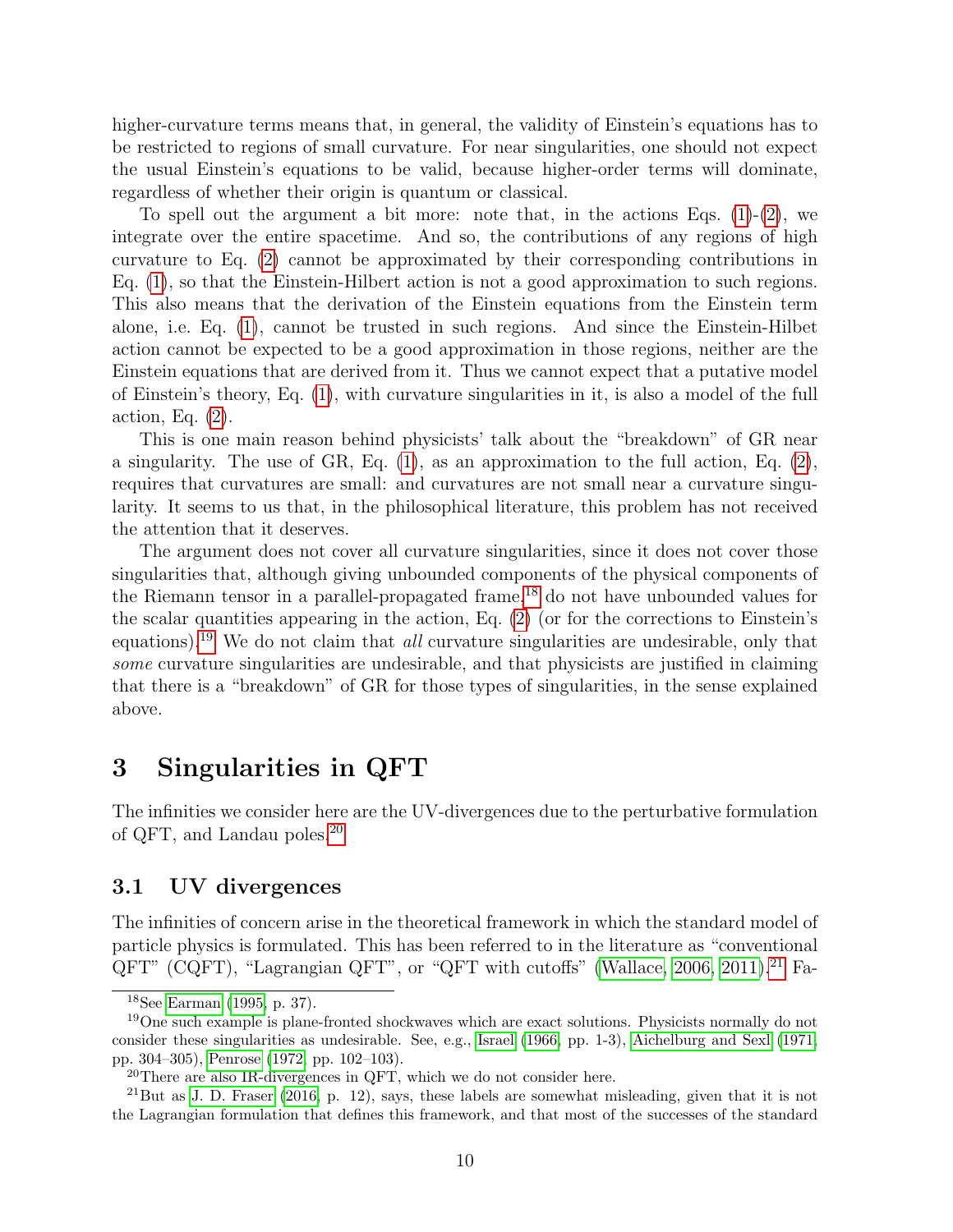higher-curvature terms means that, in general, the validity of Einstein's equations has to be restricted to regions of small curvature. For near singularities, one should not expect the usual Einstein's equations to be valid, because higher-order terms will dominate, regardless of whether their origin is quantum or classical.

To spell out the argument a bit more: note that, in the actions Eqs.  $(1)-(2)$  $(1)-(2)$  $(1)-(2)$ , we integrate over the entire spacetime. And so, the contributions of any regions of high curvature to Eq. [\(2\)](#page-7-3) cannot be approximated by their corresponding contributions in Eq. [\(1\)](#page-7-4), so that the Einstein-Hilbert action is not a good approximation to such regions. This also means that the derivation of the Einstein equations from the Einstein term alone, i.e. Eq. [\(1\)](#page-7-4), cannot be trusted in such regions. And since the Einstein-Hilbet action cannot be expected to be a good approximation in those regions, neither are the Einstein equations that are derived from it. Thus we cannot expect that a putative model of Einstein's theory, Eq. [\(1\)](#page-7-4), with curvature singularities in it, is also a model of the full action, Eq. [\(2\)](#page-7-3).

This is one main reason behind physicists' talk about the "breakdown" of GR near a singularity. The use of GR, Eq. [\(1\)](#page-7-4), as an approximation to the full action, Eq. [\(2\)](#page-7-3), requires that curvatures are small: and curvatures are not small near a curvature singularity. It seems to us that, in the philosophical literature, this problem has not received the attention that it deserves.

The argument does not cover all curvature singularities, since it does not cover those singularities that, although giving unbounded components of the physical components of the Riemann tensor in a parallel-propagated frame,  $^{18}$  $^{18}$  $^{18}$  do not have unbounded values for the scalar quantities appearing in the action, Eq. [\(2\)](#page-7-3) (or for the corrections to Einstein's equations).<sup>[19](#page-9-3)</sup> We do not claim that *all* curvature singularities are undesirable, only that some curvature singularities are undesirable, and that physicists are justified in claiming that there is a "breakdown" of GR for those types of singularities, in the sense explained above.

## <span id="page-9-0"></span>3 Singularities in QFT

The infinities we consider here are the UV-divergences due to the perturbative formulation of QFT, and Landau poles.[20](#page-9-4)

#### <span id="page-9-1"></span>3.1 UV divergences

The infinities of concern arise in the theoretical framework in which the standard model of particle physics is formulated. This has been referred to in the literature as "conventional  $QFT"$  (CQFT), "Lagrangian QFT", or "QFT with cutoffs" [\(Wallace, 2006,](#page-25-8) [2011\)](#page-25-9).<sup>[21](#page-9-5)</sup> Fa-

<span id="page-9-3"></span><span id="page-9-2"></span><sup>18</sup>See [Earman](#page-23-3) [\(1995,](#page-23-3) p. 37).

<sup>&</sup>lt;sup>19</sup>One such example is plane-fronted shockwaves which are exact solutions. Physicists normally do not consider these singularities as undesirable. See, e.g., [Israel](#page-24-3) [\(1966,](#page-24-3) pp. 1-3), [Aichelburg and Sexl](#page-22-4) [\(1971,](#page-22-4) pp. 304–305), [Penrose](#page-25-10) [\(1972,](#page-25-10) pp. 102–103).

<span id="page-9-5"></span><span id="page-9-4"></span> $20$ There are also IR-divergences in QFT, which we do not consider here.

 $^{21}$ But as [J. D. Fraser](#page-24-4) [\(2016,](#page-24-4) p. 12), says, these labels are somewhat misleading, given that it is not the Lagrangian formulation that defines this framework, and that most of the successes of the standard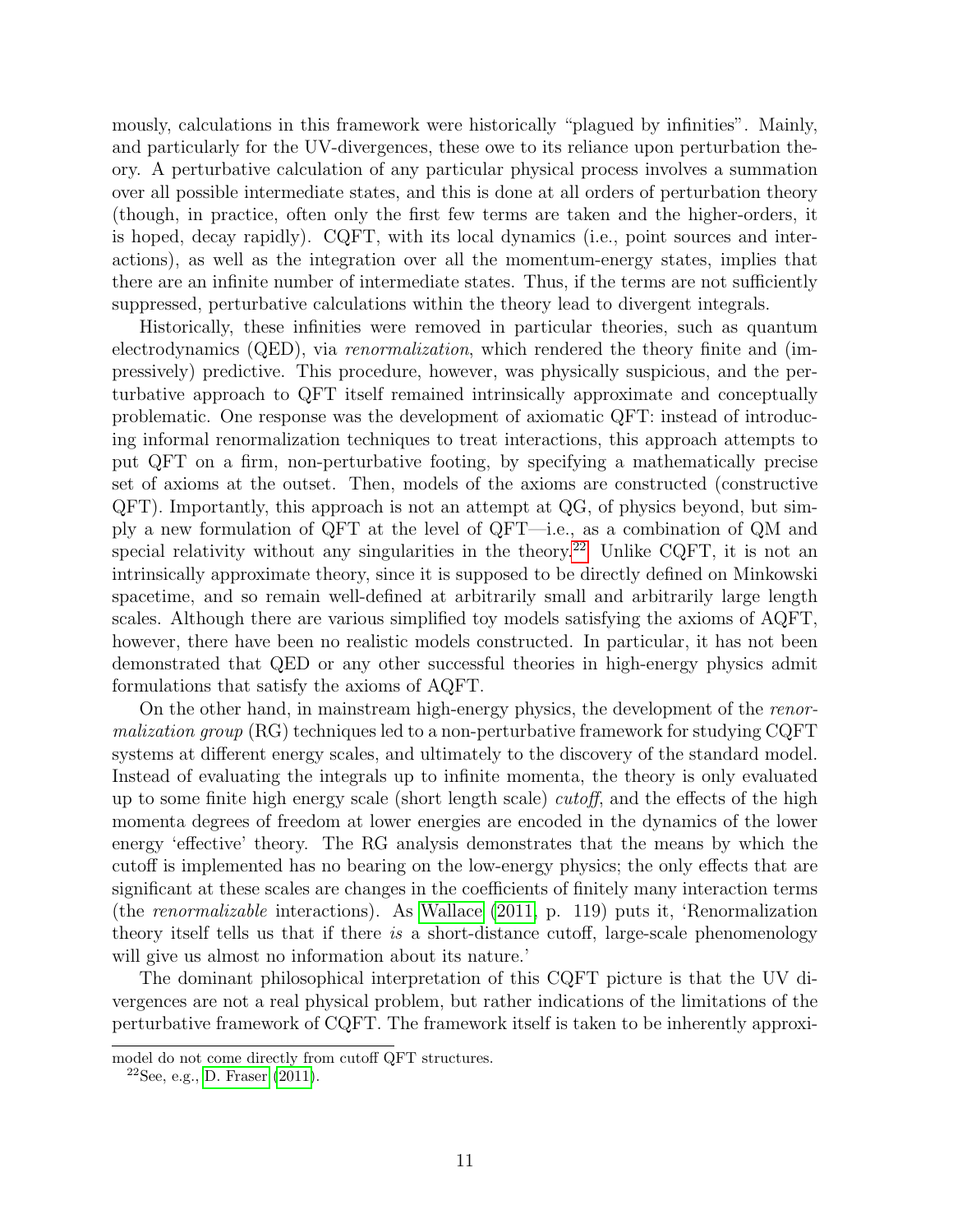mously, calculations in this framework were historically "plagued by infinities". Mainly, and particularly for the UV-divergences, these owe to its reliance upon perturbation theory. A perturbative calculation of any particular physical process involves a summation over all possible intermediate states, and this is done at all orders of perturbation theory (though, in practice, often only the first few terms are taken and the higher-orders, it is hoped, decay rapidly). CQFT, with its local dynamics (i.e., point sources and interactions), as well as the integration over all the momentum-energy states, implies that there are an infinite number of intermediate states. Thus, if the terms are not sufficiently suppressed, perturbative calculations within the theory lead to divergent integrals.

Historically, these infinities were removed in particular theories, such as quantum electrodynamics (QED), via *renormalization*, which rendered the theory finite and (impressively) predictive. This procedure, however, was physically suspicious, and the perturbative approach to QFT itself remained intrinsically approximate and conceptually problematic. One response was the development of axiomatic QFT: instead of introducing informal renormalization techniques to treat interactions, this approach attempts to put QFT on a firm, non-perturbative footing, by specifying a mathematically precise set of axioms at the outset. Then, models of the axioms are constructed (constructive QFT). Importantly, this approach is not an attempt at QG, of physics beyond, but simply a new formulation of QFT at the level of QFT—i.e., as a combination of QM and special relativity without any singularities in the theory.<sup>[22](#page-10-0)</sup> Unlike CQFT, it is not an intrinsically approximate theory, since it is supposed to be directly defined on Minkowski spacetime, and so remain well-defined at arbitrarily small and arbitrarily large length scales. Although there are various simplified toy models satisfying the axioms of AQFT, however, there have been no realistic models constructed. In particular, it has not been demonstrated that QED or any other successful theories in high-energy physics admit formulations that satisfy the axioms of AQFT.

On the other hand, in mainstream high-energy physics, the development of the renormalization group (RG) techniques led to a non-perturbative framework for studying CQFT systems at different energy scales, and ultimately to the discovery of the standard model. Instead of evaluating the integrals up to infinite momenta, the theory is only evaluated up to some finite high energy scale (short length scale) cutoff, and the effects of the high momenta degrees of freedom at lower energies are encoded in the dynamics of the lower energy 'effective' theory. The RG analysis demonstrates that the means by which the cutoff is implemented has no bearing on the low-energy physics; the only effects that are significant at these scales are changes in the coefficients of finitely many interaction terms (the renormalizable interactions). As [Wallace](#page-25-9) [\(2011,](#page-25-9) p. 119) puts it, 'Renormalization theory itself tells us that if there is a short-distance cutoff, large-scale phenomenology will give us almost no information about its nature.

The dominant philosophical interpretation of this CQFT picture is that the UV divergences are not a real physical problem, but rather indications of the limitations of the perturbative framework of CQFT. The framework itself is taken to be inherently approxi-

model do not come directly from cutoff QFT structures.

<span id="page-10-0"></span> $22$ See, e.g., [D. Fraser](#page-24-5)  $(2011)$ .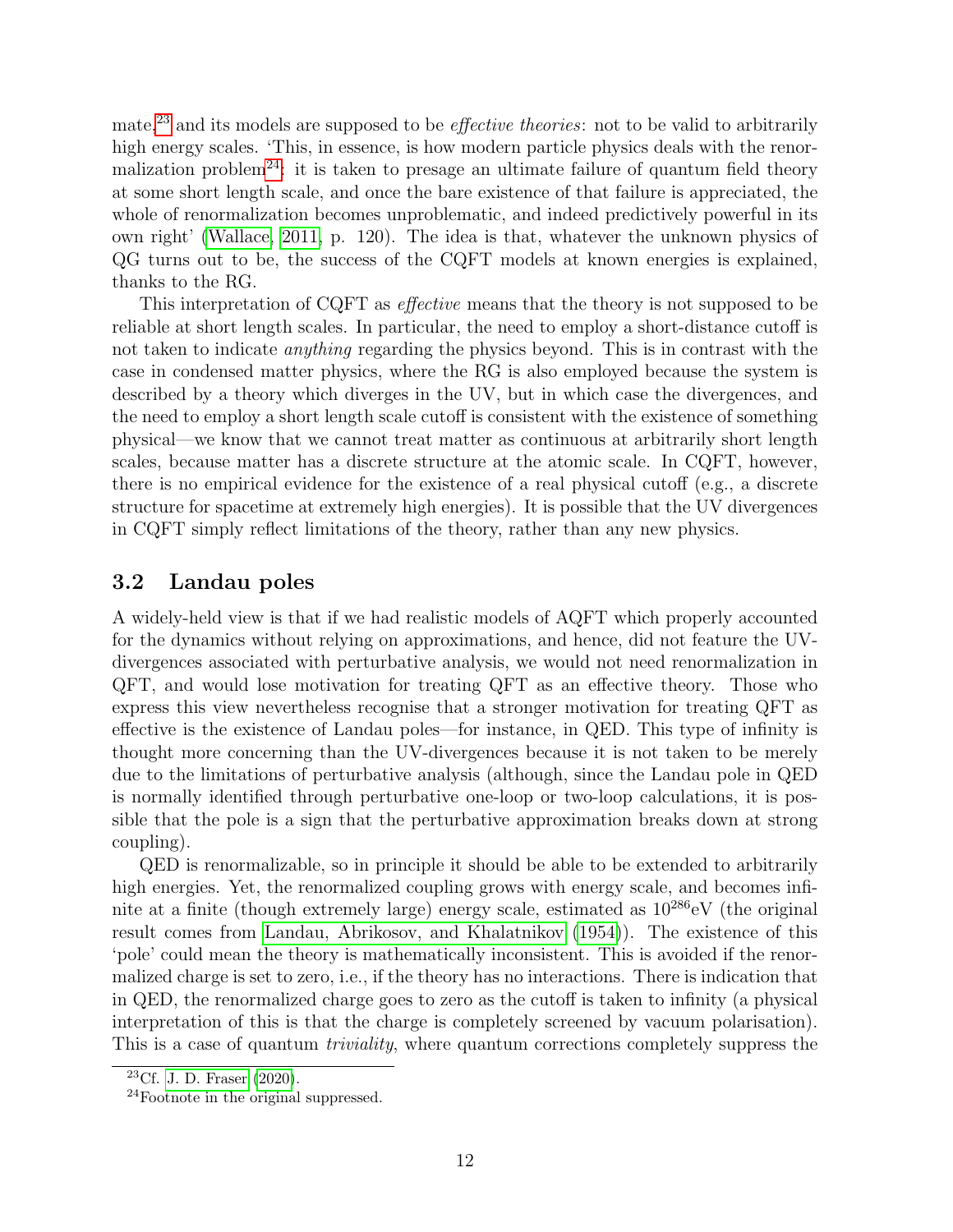mate, $^{23}$  $^{23}$  $^{23}$  and its models are supposed to be *effective theories*: not to be valid to arbitrarily high energy scales. 'This, in essence, is how modern particle physics deals with the renor-malization problem<sup>[24](#page-11-2)</sup>: it is taken to presage an ultimate failure of quantum field theory at some short length scale, and once the bare existence of that failure is appreciated, the whole of renormalization becomes unproblematic, and indeed predictively powerful in its own right' [\(Wallace, 2011,](#page-25-9) p. 120). The idea is that, whatever the unknown physics of QG turns out to be, the success of the CQFT models at known energies is explained, thanks to the RG.

This interpretation of CQFT as effective means that the theory is not supposed to be reliable at short length scales. In particular, the need to employ a short-distance cutoff is not taken to indicate anything regarding the physics beyond. This is in contrast with the case in condensed matter physics, where the RG is also employed because the system is described by a theory which diverges in the UV, but in which case the divergences, and the need to employ a short length scale cutoff is consistent with the existence of something physical—we know that we cannot treat matter as continuous at arbitrarily short length scales, because matter has a discrete structure at the atomic scale. In CQFT, however, there is no empirical evidence for the existence of a real physical cutoff (e.g., a discrete structure for spacetime at extremely high energies). It is possible that the UV divergences in CQFT simply reflect limitations of the theory, rather than any new physics.

#### <span id="page-11-0"></span>3.2 Landau poles

A widely-held view is that if we had realistic models of AQFT which properly accounted for the dynamics without relying on approximations, and hence, did not feature the UVdivergences associated with perturbative analysis, we would not need renormalization in QFT, and would lose motivation for treating QFT as an effective theory. Those who express this view nevertheless recognise that a stronger motivation for treating QFT as effective is the existence of Landau poles—for instance, in QED. This type of infinity is thought more concerning than the UV-divergences because it is not taken to be merely due to the limitations of perturbative analysis (although, since the Landau pole in QED is normally identified through perturbative one-loop or two-loop calculations, it is possible that the pole is a sign that the perturbative approximation breaks down at strong coupling).

QED is renormalizable, so in principle it should be able to be extended to arbitrarily high energies. Yet, the renormalized coupling grows with energy scale, and becomes infinite at a finite (though extremely large) energy scale, estimated as  $10^{286}$ eV (the original result comes from [Landau, Abrikosov, and Khalatnikov](#page-25-11) [\(1954\)](#page-25-11)). The existence of this 'pole' could mean the theory is mathematically inconsistent. This is avoided if the renormalized charge is set to zero, i.e., if the theory has no interactions. There is indication that in QED, the renormalized charge goes to zero as the cutoff is taken to infinity (a physical interpretation of this is that the charge is completely screened by vacuum polarisation). This is a case of quantum *triviality*, where quantum corrections completely suppress the

<span id="page-11-1"></span> $23Cf.$  [J. D. Fraser](#page-24-6) [\(2020\)](#page-24-6).

<span id="page-11-2"></span><sup>&</sup>lt;sup>24</sup>Footnote in the original suppressed.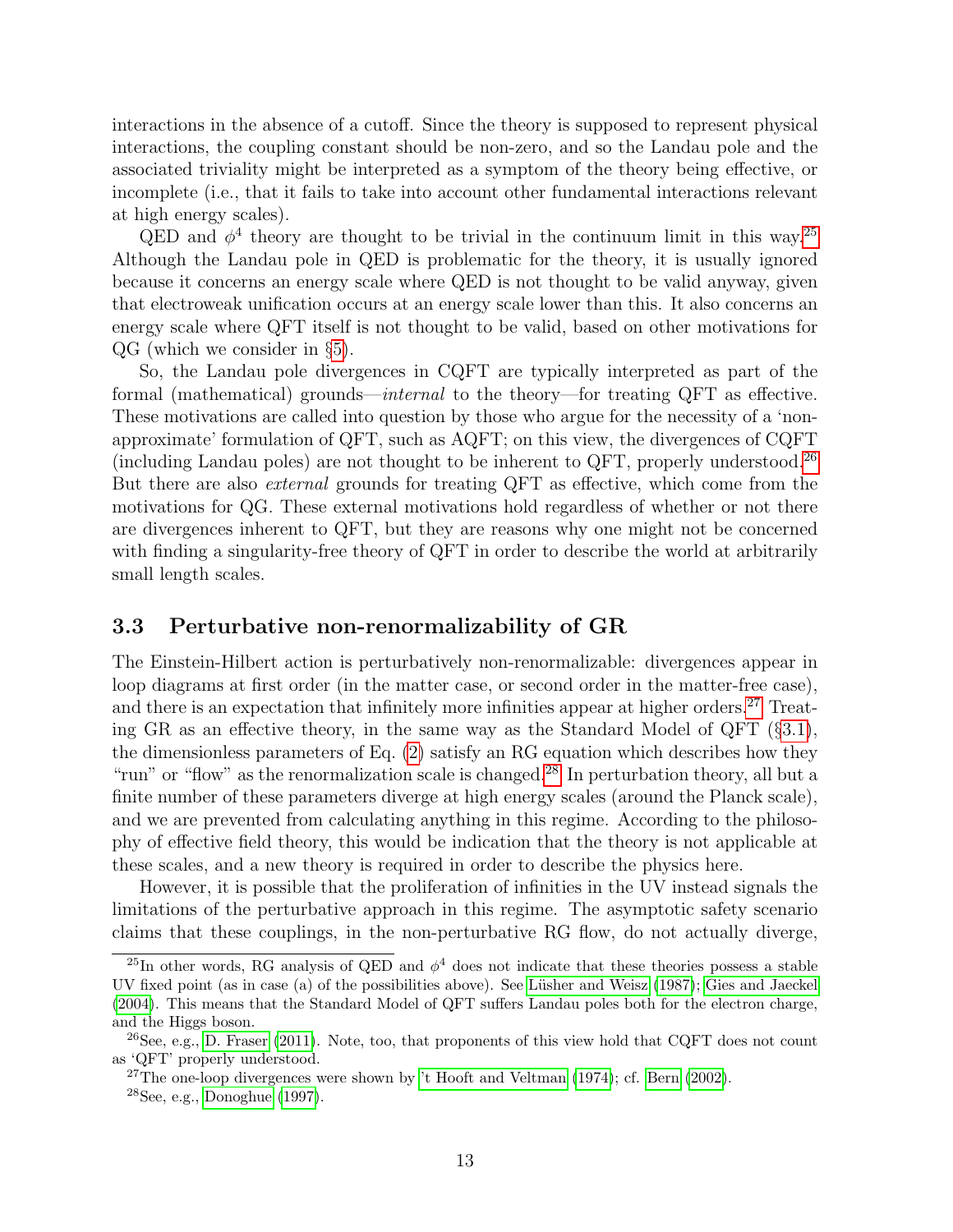interactions in the absence of a cutoff. Since the theory is supposed to represent physical interactions, the coupling constant should be non-zero, and so the Landau pole and the associated triviality might be interpreted as a symptom of the theory being effective, or incomplete (i.e., that it fails to take into account other fundamental interactions relevant at high energy scales).

QED and  $\phi^4$  theory are thought to be trivial in the continuum limit in this way.<sup>[25](#page-12-1)</sup> Although the Landau pole in QED is problematic for the theory, it is usually ignored because it concerns an energy scale where QED is not thought to be valid anyway, given that electroweak unification occurs at an energy scale lower than this. It also concerns an energy scale where QFT itself is not thought to be valid, based on other motivations for QG (which we consider in §[5\)](#page-21-0).

So, the Landau pole divergences in CQFT are typically interpreted as part of the formal (mathematical) grounds—internal to the theory—for treating QFT as effective. These motivations are called into question by those who argue for the necessity of a 'nonapproximate' formulation of QFT, such as AQFT; on this view, the divergences of CQFT (including Landau poles) are not thought to be inherent to QFT, properly understood.<sup>[26](#page-12-2)</sup> But there are also external grounds for treating QFT as effective, which come from the motivations for QG. These external motivations hold regardless of whether or not there are divergences inherent to QFT, but they are reasons why one might not be concerned with finding a singularity-free theory of QFT in order to describe the world at arbitrarily small length scales.

#### <span id="page-12-0"></span>3.3 Perturbative non-renormalizability of GR

The Einstein-Hilbert action is perturbatively non-renormalizable: divergences appear in loop diagrams at first order (in the matter case, or second order in the matter-free case), and there is an expectation that infinitely more infinities appear at higher orders.<sup>[27](#page-12-3)</sup> Treating GR as an effective theory, in the same way as the Standard Model of QFT (§[3.1\)](#page-9-1), the dimensionless parameters of Eq. [\(2\)](#page-7-3) satisfy an RG equation which describes how they "run" or "flow" as the renormalization scale is changed.[28](#page-12-4) In perturbation theory, all but a finite number of these parameters diverge at high energy scales (around the Planck scale), and we are prevented from calculating anything in this regime. According to the philosophy of effective field theory, this would be indication that the theory is not applicable at these scales, and a new theory is required in order to describe the physics here.

However, it is possible that the proliferation of infinities in the UV instead signals the limitations of the perturbative approach in this regime. The asymptotic safety scenario claims that these couplings, in the non-perturbative RG flow, do not actually diverge,

<span id="page-12-1"></span><sup>&</sup>lt;sup>25</sup>In other words, RG analysis of QED and  $\phi^4$  does not indicate that these theories possess a stable UV fixed point (as in case (a) of the possibilities above). See [L¨usher and Weisz](#page-25-12) [\(1987\)](#page-25-12); [Gies and Jaeckel](#page-24-7) [\(2004\)](#page-24-7). This means that the Standard Model of QFT suffers Landau poles both for the electron charge, and the Higgs boson.

<span id="page-12-2"></span><sup>&</sup>lt;sup>26</sup>See, e.g., [D. Fraser](#page-24-5) [\(2011\)](#page-24-5). Note, too, that proponents of this view hold that CQFT does not count as 'QFT' properly understood.

<span id="page-12-3"></span><sup>&</sup>lt;sup>27</sup>The one-loop divergences were shown by ['t Hooft and Veltman](#page-25-13)  $(1974)$ ; cf. [Bern](#page-22-5)  $(2002)$ .

<span id="page-12-4"></span> $28$ See, e.g., [Donoghue](#page-23-12) [\(1997\)](#page-23-12).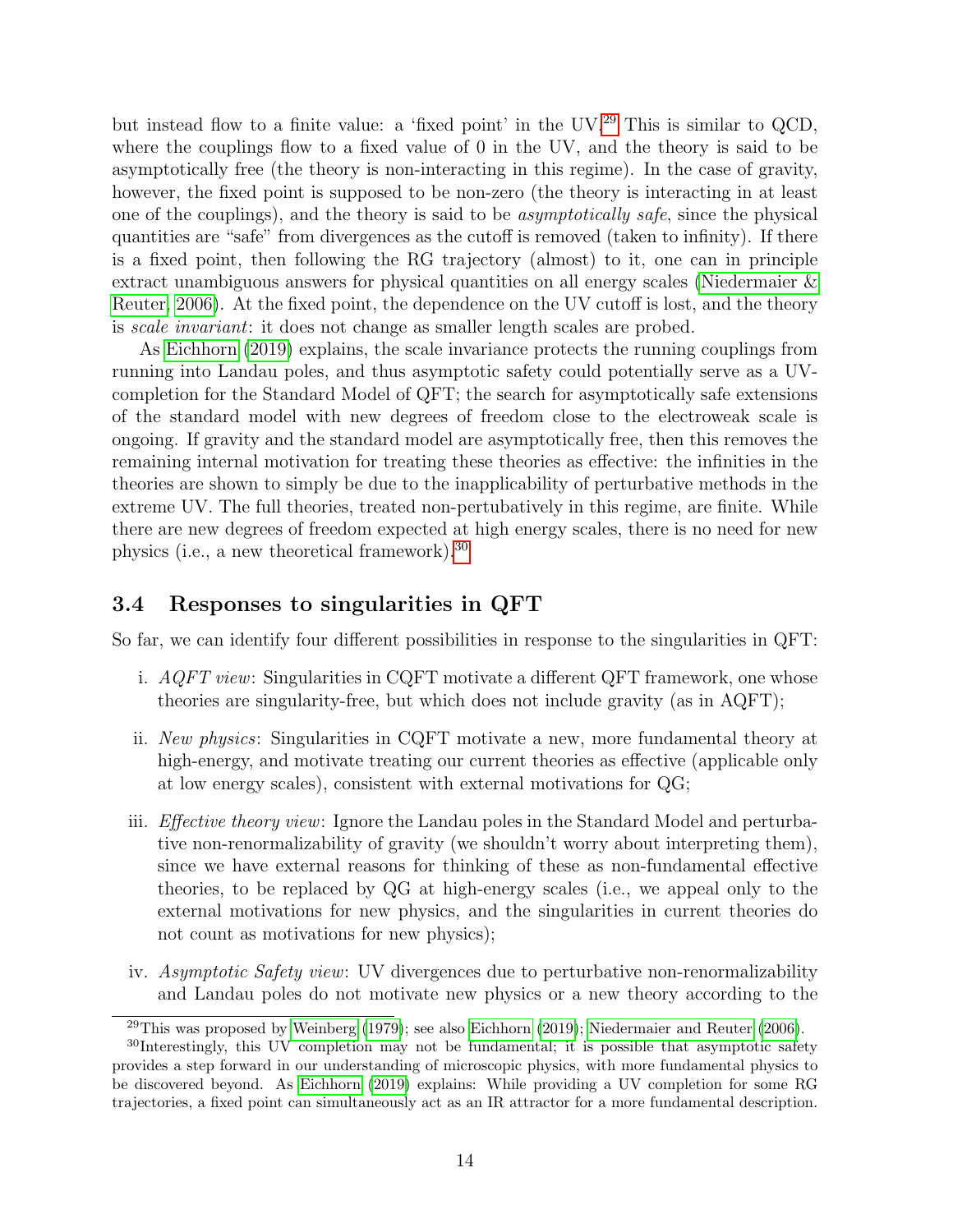but instead flow to a finite value: a 'fixed point' in the UV.<sup>[29](#page-13-1)</sup> This is similar to QCD, where the couplings flow to a fixed value of 0 in the UV, and the theory is said to be asymptotically free (the theory is non-interacting in this regime). In the case of gravity, however, the fixed point is supposed to be non-zero (the theory is interacting in at least one of the couplings), and the theory is said to be asymptotically safe, since the physical quantities are "safe" from divergences as the cutoff is removed (taken to infinity). If there is a fixed point, then following the RG trajectory (almost) to it, one can in principle extract unambiguous answers for physical quantities on all energy scales [\(Niedermaier &](#page-25-7) [Reuter, 2006\)](#page-25-7). At the fixed point, the dependence on the UV cutoff is lost, and the theory is scale invariant: it does not change as smaller length scales are probed.

As [Eichhorn](#page-23-13) [\(2019\)](#page-23-13) explains, the scale invariance protects the running couplings from running into Landau poles, and thus asymptotic safety could potentially serve as a UVcompletion for the Standard Model of QFT; the search for asymptotically safe extensions of the standard model with new degrees of freedom close to the electroweak scale is ongoing. If gravity and the standard model are asymptotically free, then this removes the remaining internal motivation for treating these theories as effective: the infinities in the theories are shown to simply be due to the inapplicability of perturbative methods in the extreme UV. The full theories, treated non-pertubatively in this regime, are finite. While there are new degrees of freedom expected at high energy scales, there is no need for new physics (i.e., a new theoretical framework).[30](#page-13-2)

#### <span id="page-13-0"></span>3.4 Responses to singularities in QFT

<span id="page-13-3"></span>So far, we can identify four different possibilities in response to the singularities in QFT:

- i. AQFT view: Singularities in CQFT motivate a different QFT framework, one whose theories are singularity-free, but which does not include gravity (as in AQFT);
- <span id="page-13-5"></span>ii. New physics: Singularities in CQFT motivate a new, more fundamental theory at high-energy, and motivate treating our current theories as effective (applicable only at low energy scales), consistent with external motivations for QG;
- <span id="page-13-6"></span>iii. Effective theory view: Ignore the Landau poles in the Standard Model and perturbative non-renormalizability of gravity (we shouldn't worry about interpreting them), since we have external reasons for thinking of these as non-fundamental effective theories, to be replaced by QG at high-energy scales (i.e., we appeal only to the external motivations for new physics, and the singularities in current theories do not count as motivations for new physics);
- <span id="page-13-4"></span>iv. Asymptotic Safety view: UV divergences due to perturbative non-renormalizability and Landau poles do not motivate new physics or a new theory according to the

<span id="page-13-2"></span><span id="page-13-1"></span> $^{29}$ This was proposed by [Weinberg](#page-25-14) [\(1979\)](#page-25-14); see also [Eichhorn](#page-23-13) [\(2019\)](#page-23-13); [Niedermaier and Reuter](#page-25-7) [\(2006\)](#page-25-7).

<sup>30</sup>Interestingly, this UV completion may not be fundamental; it is possible that asymptotic safety provides a step forward in our understanding of microscopic physics, with more fundamental physics to be discovered beyond. As [Eichhorn](#page-23-13) [\(2019\)](#page-23-13) explains: While providing a UV completion for some RG trajectories, a fixed point can simultaneously act as an IR attractor for a more fundamental description.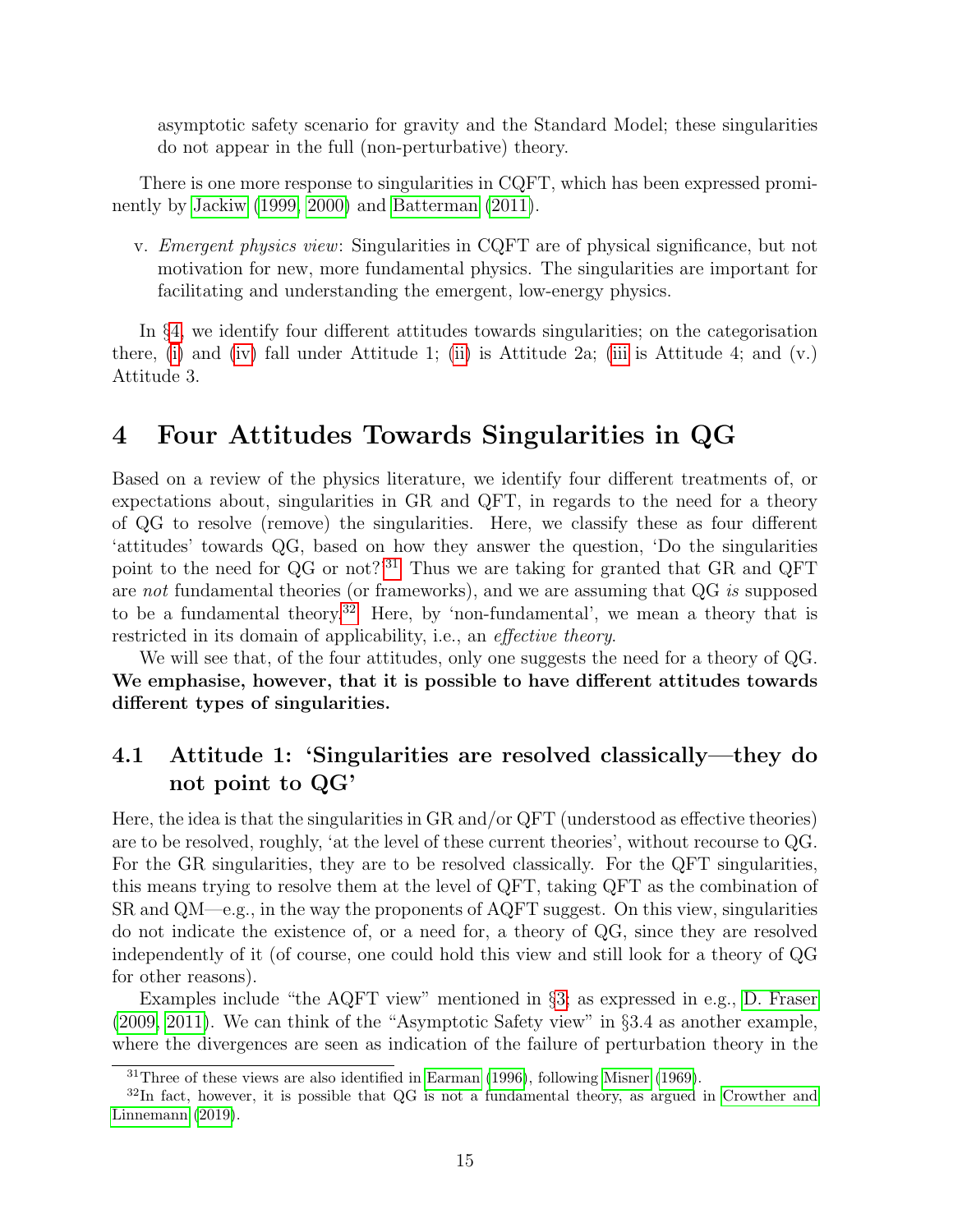asymptotic safety scenario for gravity and the Standard Model; these singularities do not appear in the full (non-perturbative) theory.

There is one more response to singularities in CQFT, which has been expressed prominently by [Jackiw](#page-24-8) [\(1999,](#page-24-8) [2000\)](#page-24-9) and [Batterman](#page-22-6) [\(2011\)](#page-22-6).

v. Emergent physics view: Singularities in CQFT are of physical significance, but not motivation for new, more fundamental physics. The singularities are important for facilitating and understanding the emergent, low-energy physics.

In §[4,](#page-14-0) we identify four different attitudes towards singularities; on the categorisation there, [\(i\)](#page-13-3) and [\(iv\)](#page-13-4) fall under Attitude 1; [\(ii\)](#page-13-5) is Attitude 2a; [\(iii](#page-13-6) is Attitude 4; and  $(v)$ .) Attitude 3.

## <span id="page-14-0"></span>4 Four Attitudes Towards Singularities in QG

Based on a review of the physics literature, we identify four different treatments of, or expectations about, singularities in GR and QFT, in regards to the need for a theory of QG to resolve (remove) the singularities. Here, we classify these as four different 'attitudes' towards QG, based on how they answer the question, 'Do the singularities point to the need for QG or not?'[31](#page-14-2) Thus we are taking for granted that GR and QFT are not fundamental theories (or frameworks), and we are assuming that QG is supposed to be a fundamental theory.<sup>[32](#page-14-3)</sup> Here, by 'non-fundamental', we mean a theory that is restricted in its domain of applicability, i.e., an *effective theory*.

We will see that, of the four attitudes, only one suggests the need for a theory of QG. We emphasise, however, that it is possible to have different attitudes towards different types of singularities.

## <span id="page-14-1"></span>4.1 Attitude 1: 'Singularities are resolved classically—they do not point to QG'

Here, the idea is that the singularities in GR and/or QFT (understood as effective theories) are to be resolved, roughly, 'at the level of these current theories', without recourse to QG. For the GR singularities, they are to be resolved classically. For the QFT singularities, this means trying to resolve them at the level of QFT, taking QFT as the combination of SR and QM—e.g., in the way the proponents of AQFT suggest. On this view, singularities do not indicate the existence of, or a need for, a theory of QG, since they are resolved independently of it (of course, one could hold this view and still look for a theory of QG for other reasons).

Examples include "the AQFT view" mentioned in §[3;](#page-9-0) as expressed in e.g., [D. Fraser](#page-24-10) [\(2009,](#page-24-10) [2011\)](#page-24-5). We can think of the "Asymptotic Safety view" in §3.4 as another example, where the divergences are seen as indication of the failure of perturbation theory in the

<span id="page-14-3"></span><span id="page-14-2"></span> $31$ Three of these views are also identified in [Earman](#page-23-2) [\(1996\)](#page-23-2), following [Misner](#page-25-15) [\(1969\)](#page-25-15).

<sup>&</sup>lt;sup>32</sup>In fact, however, it is possible that QG is not a fundamental theory, as argued in [Crowther and](#page-23-14) [Linnemann](#page-23-14) [\(2019\)](#page-23-14).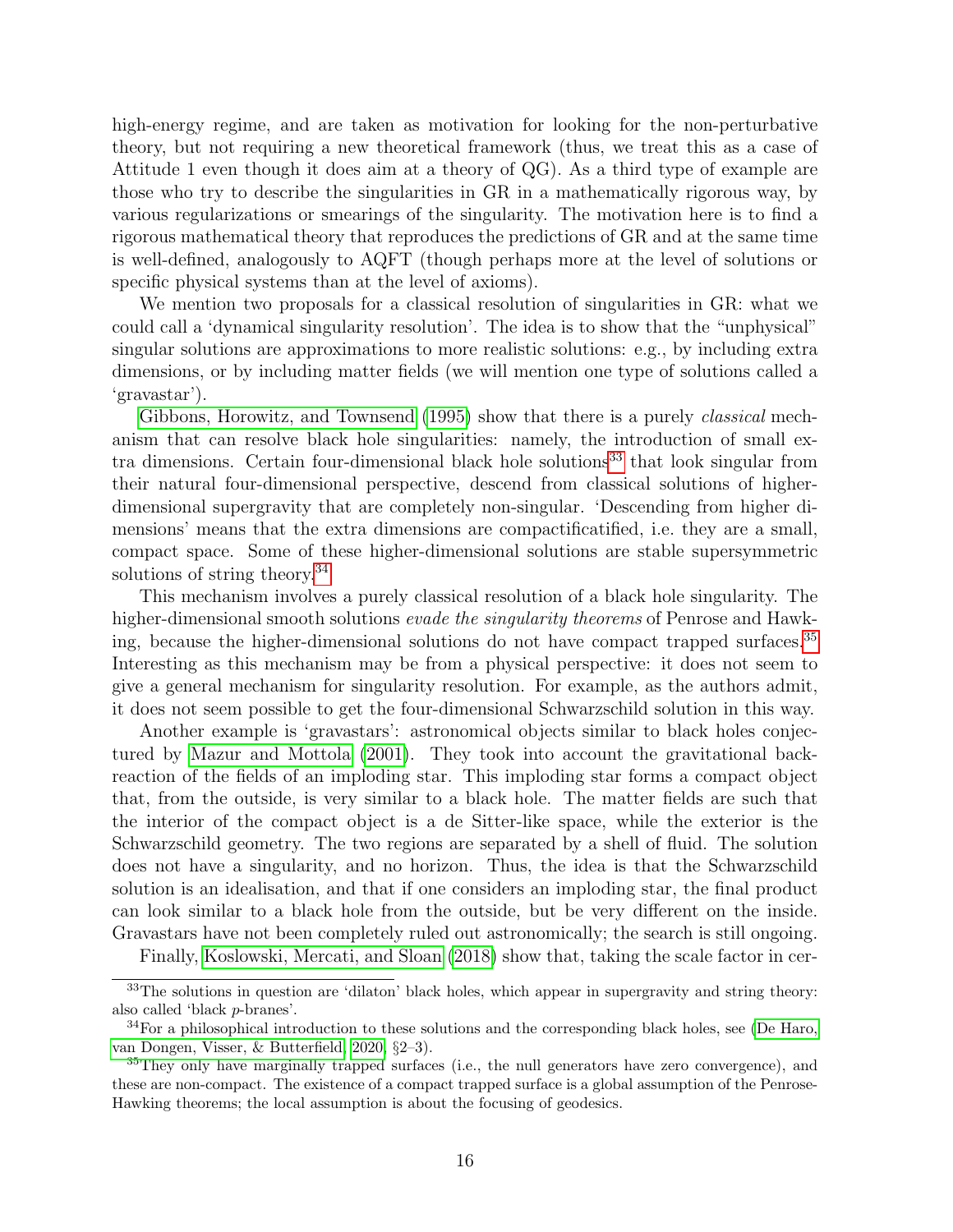high-energy regime, and are taken as motivation for looking for the non-perturbative theory, but not requiring a new theoretical framework (thus, we treat this as a case of Attitude 1 even though it does aim at a theory of QG). As a third type of example are those who try to describe the singularities in GR in a mathematically rigorous way, by various regularizations or smearings of the singularity. The motivation here is to find a rigorous mathematical theory that reproduces the predictions of GR and at the same time is well-defined, analogously to AQFT (though perhaps more at the level of solutions or specific physical systems than at the level of axioms).

We mention two proposals for a classical resolution of singularities in GR: what we could call a 'dynamical singularity resolution'. The idea is to show that the "unphysical" singular solutions are approximations to more realistic solutions: e.g., by including extra dimensions, or by including matter fields (we will mention one type of solutions called a 'gravastar').

[Gibbons, Horowitz, and Townsend](#page-24-11) [\(1995\)](#page-24-11) show that there is a purely *classical* mechanism that can resolve black hole singularities: namely, the introduction of small ex-tra dimensions. Certain four-dimensional black hole solutions<sup>[33](#page-15-0)</sup> that look singular from their natural four-dimensional perspective, descend from classical solutions of higherdimensional supergravity that are completely non-singular. 'Descending from higher dimensions' means that the extra dimensions are compactificatified, i.e. they are a small, compact space. Some of these higher-dimensional solutions are stable supersymmetric solutions of string theory.<sup>[34](#page-15-1)</sup>

This mechanism involves a purely classical resolution of a black hole singularity. The higher-dimensional smooth solutions evade the singularity theorems of Penrose and Hawking, because the higher-dimensional solutions do not have compact trapped surfaces.[35](#page-15-2) Interesting as this mechanism may be from a physical perspective: it does not seem to give a general mechanism for singularity resolution. For example, as the authors admit, it does not seem possible to get the four-dimensional Schwarzschild solution in this way.

Another example is 'gravastars': astronomical objects similar to black holes conjectured by [Mazur and Mottola](#page-25-16) [\(2001\)](#page-25-16). They took into account the gravitational backreaction of the fields of an imploding star. This imploding star forms a compact object that, from the outside, is very similar to a black hole. The matter fields are such that the interior of the compact object is a de Sitter-like space, while the exterior is the Schwarzschild geometry. The two regions are separated by a shell of fluid. The solution does not have a singularity, and no horizon. Thus, the idea is that the Schwarzschild solution is an idealisation, and that if one considers an imploding star, the final product can look similar to a black hole from the outside, but be very different on the inside. Gravastars have not been completely ruled out astronomically; the search is still ongoing.

<span id="page-15-0"></span>Finally, [Koslowski, Mercati, and Sloan](#page-25-17) [\(2018\)](#page-25-17) show that, taking the scale factor in cer-

<sup>&</sup>lt;sup>33</sup>The solutions in question are 'dilaton' black holes, which appear in supergravity and string theory: also called 'black p-branes'.

<span id="page-15-1"></span> $34$ For a philosophical introduction to these solutions and the corresponding black holes, see [\(De Haro,](#page-23-15) [van Dongen, Visser, & Butterfield, 2020,](#page-23-15) §2–3).

<span id="page-15-2"></span><sup>&</sup>lt;sup>35</sup>They only have marginally trapped surfaces (i.e., the null generators have zero convergence), and these are non-compact. The existence of a compact trapped surface is a global assumption of the Penrose-Hawking theorems; the local assumption is about the focusing of geodesics.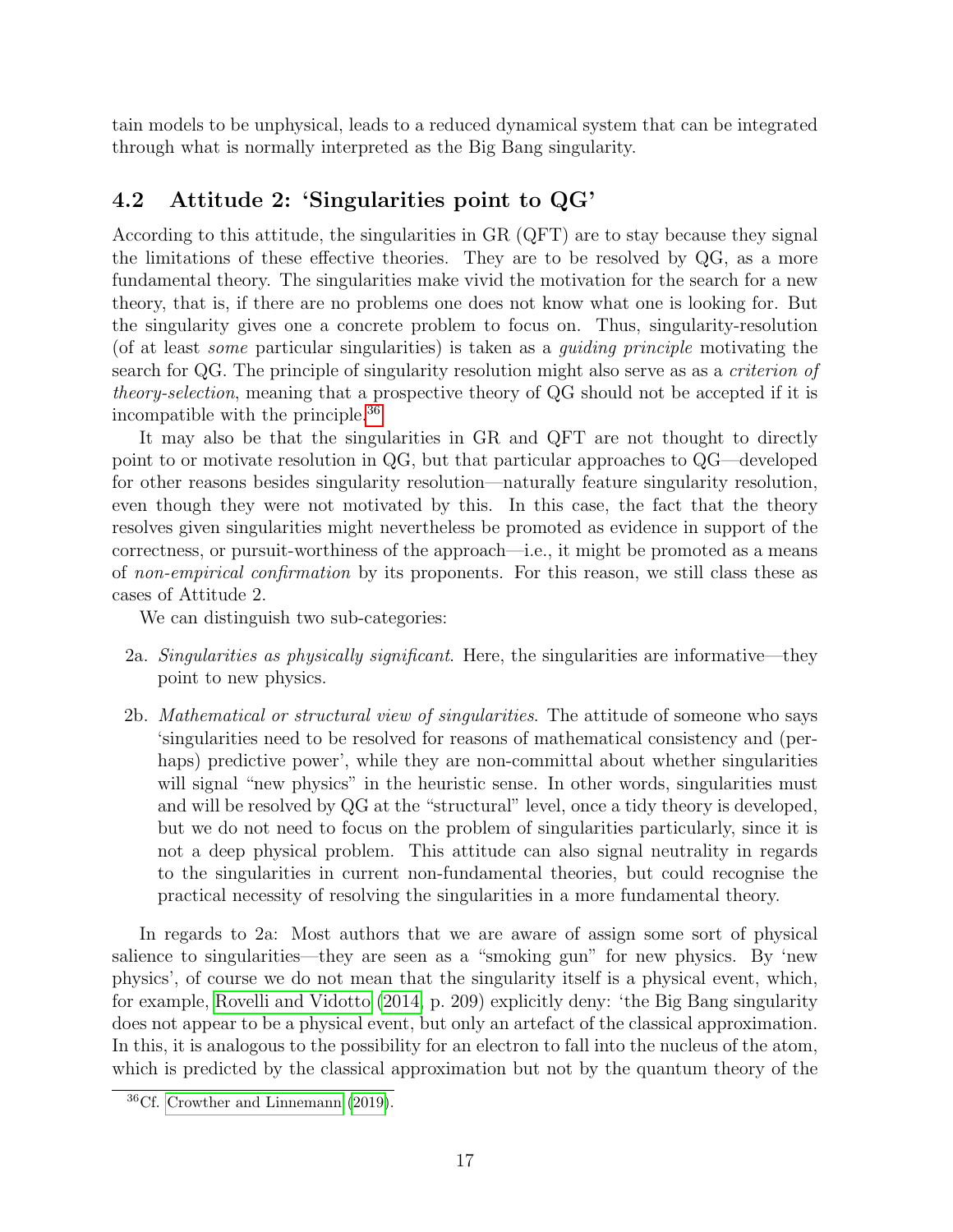tain models to be unphysical, leads to a reduced dynamical system that can be integrated through what is normally interpreted as the Big Bang singularity.

#### <span id="page-16-0"></span>4.2 Attitude 2: 'Singularities point to QG'

According to this attitude, the singularities in GR (QFT) are to stay because they signal the limitations of these effective theories. They are to be resolved by QG, as a more fundamental theory. The singularities make vivid the motivation for the search for a new theory, that is, if there are no problems one does not know what one is looking for. But the singularity gives one a concrete problem to focus on. Thus, singularity-resolution (of at least some particular singularities) is taken as a guiding principle motivating the search for QG. The principle of singularity resolution might also serve as as a criterion of theory-selection, meaning that a prospective theory of QG should not be accepted if it is incompatible with the principle.[36](#page-16-1)

It may also be that the singularities in GR and QFT are not thought to directly point to or motivate resolution in QG, but that particular approaches to QG—developed for other reasons besides singularity resolution—naturally feature singularity resolution, even though they were not motivated by this. In this case, the fact that the theory resolves given singularities might nevertheless be promoted as evidence in support of the correctness, or pursuit-worthiness of the approach—i.e., it might be promoted as a means of non-empirical confirmation by its proponents. For this reason, we still class these as cases of Attitude 2.

We can distinguish two sub-categories:

- 2a. Singularities as physically significant. Here, the singularities are informative—they point to new physics.
- 2b. Mathematical or structural view of singularities. The attitude of someone who says 'singularities need to be resolved for reasons of mathematical consistency and (perhaps) predictive power', while they are non-committal about whether singularities will signal "new physics" in the heuristic sense. In other words, singularities must and will be resolved by QG at the "structural" level, once a tidy theory is developed, but we do not need to focus on the problem of singularities particularly, since it is not a deep physical problem. This attitude can also signal neutrality in regards to the singularities in current non-fundamental theories, but could recognise the practical necessity of resolving the singularities in a more fundamental theory.

In regards to 2a: Most authors that we are aware of assign some sort of physical salience to singularities—they are seen as a "smoking gun" for new physics. By 'new physics', of course we do not mean that the singularity itself is a physical event, which, for example, [Rovelli and Vidotto](#page-25-18) [\(2014,](#page-25-18) p. 209) explicitly deny: 'the Big Bang singularity does not appear to be a physical event, but only an artefact of the classical approximation. In this, it is analogous to the possibility for an electron to fall into the nucleus of the atom, which is predicted by the classical approximation but not by the quantum theory of the

<span id="page-16-1"></span><sup>36</sup>Cf. [Crowther and Linnemann](#page-23-14) [\(2019\)](#page-23-14).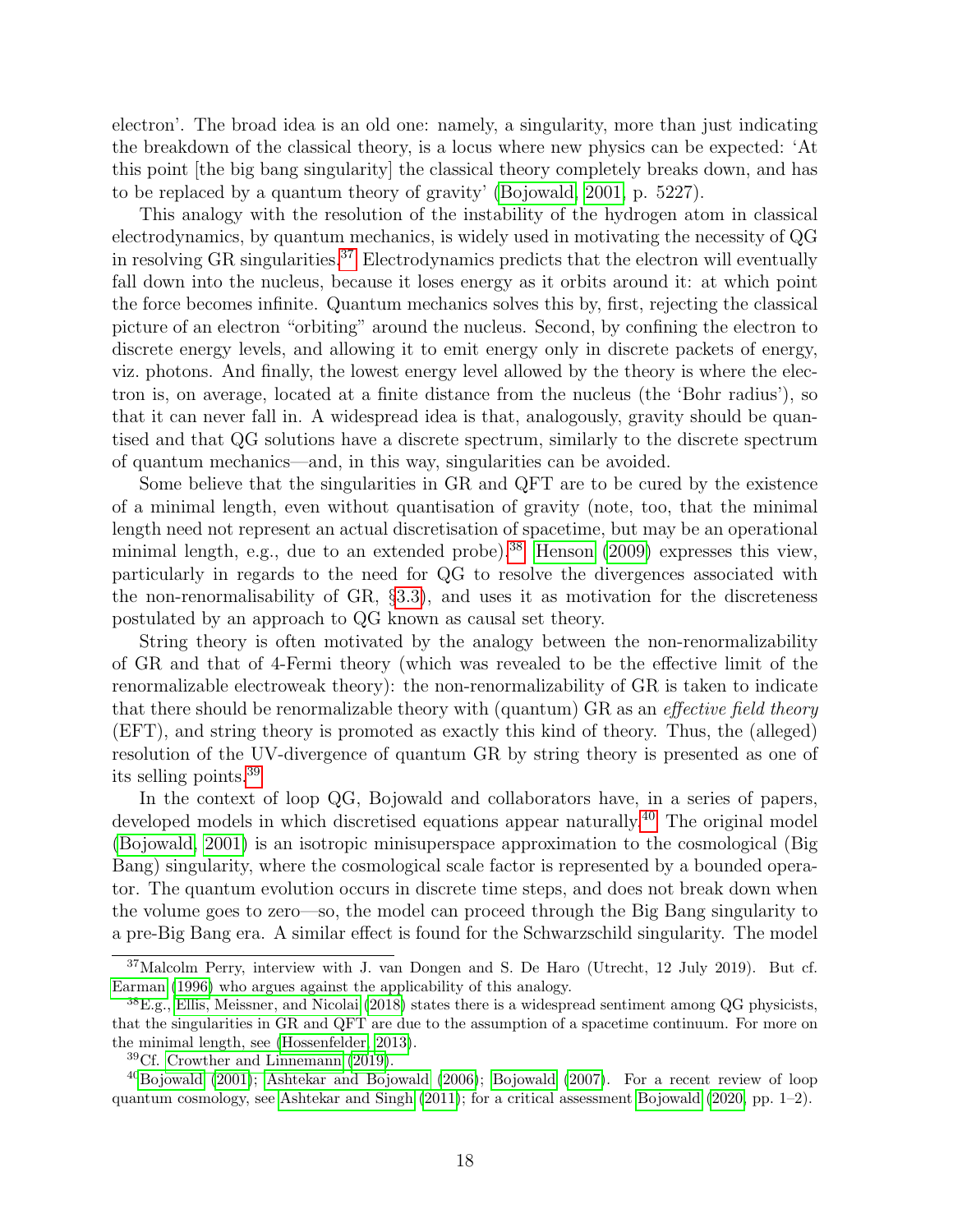electron'. The broad idea is an old one: namely, a singularity, more than just indicating the breakdown of the classical theory, is a locus where new physics can be expected: 'At this point [the big bang singularity] the classical theory completely breaks down, and has to be replaced by a quantum theory of gravity' [\(Bojowald, 2001,](#page-22-7) p. 5227).

This analogy with the resolution of the instability of the hydrogen atom in classical electrodynamics, by quantum mechanics, is widely used in motivating the necessity of QG in resolving GR singularities.[37](#page-17-0) Electrodynamics predicts that the electron will eventually fall down into the nucleus, because it loses energy as it orbits around it: at which point the force becomes infinite. Quantum mechanics solves this by, first, rejecting the classical picture of an electron "orbiting" around the nucleus. Second, by confining the electron to discrete energy levels, and allowing it to emit energy only in discrete packets of energy, viz. photons. And finally, the lowest energy level allowed by the theory is where the electron is, on average, located at a finite distance from the nucleus (the 'Bohr radius'), so that it can never fall in. A widespread idea is that, analogously, gravity should be quantised and that QG solutions have a discrete spectrum, similarly to the discrete spectrum of quantum mechanics—and, in this way, singularities can be avoided.

Some believe that the singularities in GR and QFT are to be cured by the existence of a minimal length, even without quantisation of gravity (note, too, that the minimal length need not represent an actual discretisation of spacetime, but may be an operational minimal length, e.g., due to an extended probe).<sup>[38](#page-17-1)</sup> [Henson](#page-24-12)  $(2009)$  expresses this view, particularly in regards to the need for QG to resolve the divergences associated with the non-renormalisability of GR, §[3.3\)](#page-12-0), and uses it as motivation for the discreteness postulated by an approach to QG known as causal set theory.

String theory is often motivated by the analogy between the non-renormalizability of GR and that of 4-Fermi theory (which was revealed to be the effective limit of the renormalizable electroweak theory): the non-renormalizability of GR is taken to indicate that there should be renormalizable theory with (quantum) GR as an *effective field theory* (EFT), and string theory is promoted as exactly this kind of theory. Thus, the (alleged) resolution of the UV-divergence of quantum GR by string theory is presented as one of its selling points.[39](#page-17-2)

In the context of loop QG, Bojowald and collaborators have, in a series of papers, developed models in which discretised equations appear naturally.<sup>[40](#page-17-3)</sup> The original model [\(Bojowald, 2001\)](#page-22-7) is an isotropic minisuperspace approximation to the cosmological (Big Bang) singularity, where the cosmological scale factor is represented by a bounded operator. The quantum evolution occurs in discrete time steps, and does not break down when the volume goes to zero—so, the model can proceed through the Big Bang singularity to a pre-Big Bang era. A similar effect is found for the Schwarzschild singularity. The model

<span id="page-17-0"></span><sup>37</sup>Malcolm Perry, interview with J. van Dongen and S. De Haro (Utrecht, 12 July 2019). But cf. [Earman](#page-23-2) [\(1996\)](#page-23-2) who argues against the applicability of this analogy.

<span id="page-17-1"></span> ${}^{38}E.g.,$  [Ellis, Meissner, and Nicolai](#page-23-16) [\(2018\)](#page-23-16) states there is a widespread sentiment among QG physicists, that the singularities in GR and QFT are due to the assumption of a spacetime continuum. For more on the minimal length, see [\(Hossenfelder, 2013\)](#page-24-13).

<span id="page-17-3"></span><span id="page-17-2"></span><sup>39</sup>Cf. [Crowther and Linnemann](#page-23-14) [\(2019\)](#page-23-14).

<sup>40</sup>[Bojowald](#page-22-7) [\(2001\)](#page-22-7); [Ashtekar and Bojowald](#page-22-8) [\(2006\)](#page-22-8); [Bojowald](#page-22-1) [\(2007\)](#page-22-1). For a recent review of loop quantum cosmology, see [Ashtekar and Singh](#page-22-9) [\(2011\)](#page-22-9); for a critical assessment [Bojowald](#page-22-10) [\(2020,](#page-22-10) pp. 1–2).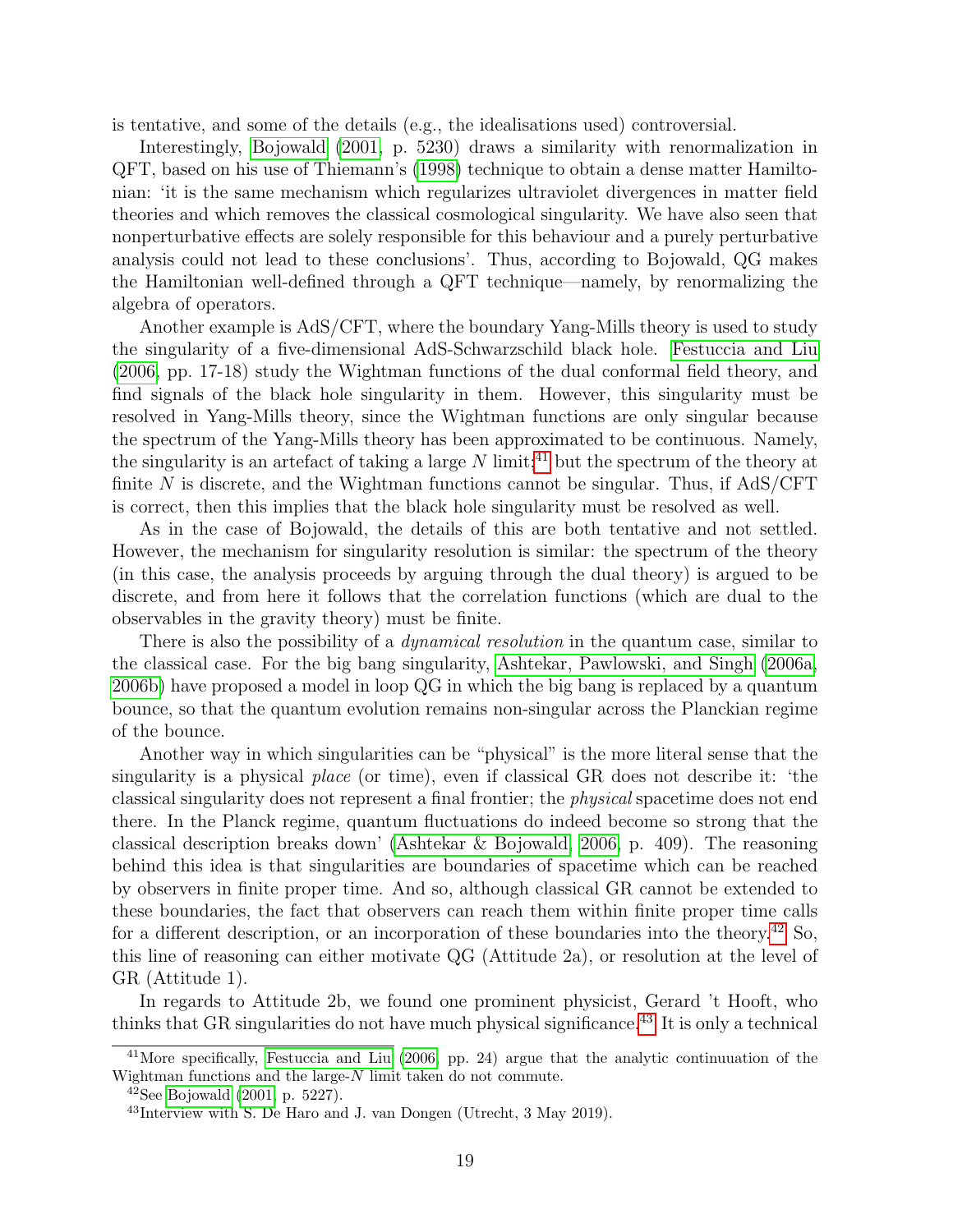is tentative, and some of the details (e.g., the idealisations used) controversial.

Interestingly, [Bojowald](#page-22-7) [\(2001,](#page-22-7) p. 5230) draws a similarity with renormalization in QFT, based on his use of Thiemann's [\(1998\)](#page-25-19) technique to obtain a dense matter Hamiltonian: 'it is the same mechanism which regularizes ultraviolet divergences in matter field theories and which removes the classical cosmological singularity. We have also seen that nonperturbative effects are solely responsible for this behaviour and a purely perturbative analysis could not lead to these conclusions'. Thus, according to Bojowald, QG makes the Hamiltonian well-defined through a QFT technique—namely, by renormalizing the algebra of operators.

Another example is AdS/CFT, where the boundary Yang-Mills theory is used to study the singularity of a five-dimensional AdS-Schwarzschild black hole. [Festuccia and Liu](#page-24-14) [\(2006,](#page-24-14) pp. 17-18) study the Wightman functions of the dual conformal field theory, and find signals of the black hole singularity in them. However, this singularity must be resolved in Yang-Mills theory, since the Wightman functions are only singular because the spectrum of the Yang-Mills theory has been approximated to be continuous. Namely, the singularity is an artefact of taking a large  $N$  limit;<sup>[41](#page-18-0)</sup> but the spectrum of the theory at finite  $N$  is discrete, and the Wightman functions cannot be singular. Thus, if  $AdS/CFT$ is correct, then this implies that the black hole singularity must be resolved as well.

As in the case of Bojowald, the details of this are both tentative and not settled. However, the mechanism for singularity resolution is similar: the spectrum of the theory (in this case, the analysis proceeds by arguing through the dual theory) is argued to be discrete, and from here it follows that the correlation functions (which are dual to the observables in the gravity theory) must be finite.

There is also the possibility of a *dynamical resolution* in the quantum case, similar to the classical case. For the big bang singularity, [Ashtekar, Pawlowski, and Singh](#page-22-11) [\(2006a,](#page-22-11) [2006b\)](#page-22-12) have proposed a model in loop QG in which the big bang is replaced by a quantum bounce, so that the quantum evolution remains non-singular across the Planckian regime of the bounce.

Another way in which singularities can be "physical" is the more literal sense that the singularity is a physical place (or time), even if classical GR does not describe it: 'the classical singularity does not represent a final frontier; the physical spacetime does not end there. In the Planck regime, quantum fluctuations do indeed become so strong that the classical description breaks down' [\(Ashtekar & Bojowald, 2006,](#page-22-8) p. 409). The reasoning behind this idea is that singularities are boundaries of spacetime which can be reached by observers in finite proper time. And so, although classical GR cannot be extended to these boundaries, the fact that observers can reach them within finite proper time calls for a different description, or an incorporation of these boundaries into the theory.<sup>[42](#page-18-1)</sup> So, this line of reasoning can either motivate QG (Attitude 2a), or resolution at the level of GR (Attitude 1).

In regards to Attitude 2b, we found one prominent physicist, Gerard 't Hooft, who thinks that GR singularities do not have much physical significance.<sup>[43](#page-18-2)</sup> It is only a technical

<span id="page-18-0"></span><sup>&</sup>lt;sup>41</sup>More specifically, [Festuccia and Liu](#page-24-14) [\(2006,](#page-24-14) pp. 24) argue that the analytic continuuation of the Wightman functions and the large-N limit taken do not commute.

<span id="page-18-1"></span> $42$ See [Bojowald](#page-22-7) [\(2001,](#page-22-7) p. 5227).

<span id="page-18-2"></span> $^{43}$ Interview with S. De Haro and J. van Dongen (Utrecht, 3 May 2019).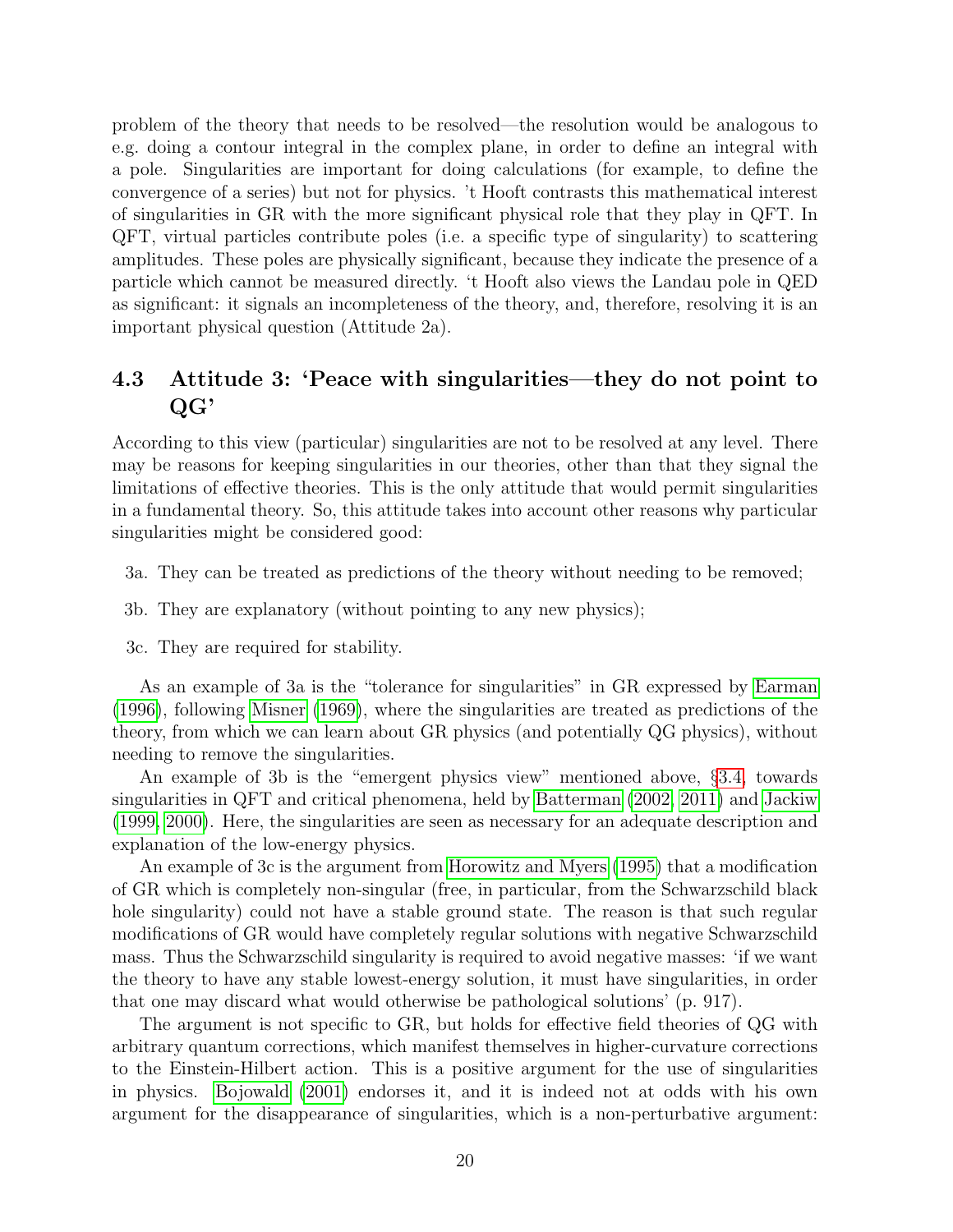problem of the theory that needs to be resolved—the resolution would be analogous to e.g. doing a contour integral in the complex plane, in order to define an integral with a pole. Singularities are important for doing calculations (for example, to define the convergence of a series) but not for physics. 't Hooft contrasts this mathematical interest of singularities in GR with the more significant physical role that they play in QFT. In QFT, virtual particles contribute poles (i.e. a specific type of singularity) to scattering amplitudes. These poles are physically significant, because they indicate the presence of a particle which cannot be measured directly. 't Hooft also views the Landau pole in QED as significant: it signals an incompleteness of the theory, and, therefore, resolving it is an important physical question (Attitude 2a).

## <span id="page-19-0"></span>4.3 Attitude 3: 'Peace with singularities—they do not point to  $QG'$

According to this view (particular) singularities are not to be resolved at any level. There may be reasons for keeping singularities in our theories, other than that they signal the limitations of effective theories. This is the only attitude that would permit singularities in a fundamental theory. So, this attitude takes into account other reasons why particular singularities might be considered good:

- 3a. They can be treated as predictions of the theory without needing to be removed;
- 3b. They are explanatory (without pointing to any new physics);
- 3c. They are required for stability.

As an example of 3a is the "tolerance for singularities" in GR expressed by [Earman](#page-23-2) [\(1996\)](#page-23-2), following [Misner](#page-25-15) [\(1969\)](#page-25-15), where the singularities are treated as predictions of the theory, from which we can learn about GR physics (and potentially QG physics), without needing to remove the singularities.

An example of 3b is the "emergent physics view" mentioned above, §[3.4,](#page-13-4) towards singularities in QFT and critical phenomena, held by [Batterman](#page-22-13) [\(2002,](#page-22-13) [2011\)](#page-22-6) and [Jackiw](#page-24-8) [\(1999,](#page-24-8) [2000\)](#page-24-9). Here, the singularities are seen as necessary for an adequate description and explanation of the low-energy physics.

An example of 3c is the argument from [Horowitz and Myers](#page-24-15) [\(1995\)](#page-24-15) that a modification of GR which is completely non-singular (free, in particular, from the Schwarzschild black hole singularity) could not have a stable ground state. The reason is that such regular modifications of GR would have completely regular solutions with negative Schwarzschild mass. Thus the Schwarzschild singularity is required to avoid negative masses: 'if we want the theory to have any stable lowest-energy solution, it must have singularities, in order that one may discard what would otherwise be pathological solutions' (p. 917).

The argument is not specific to GR, but holds for effective field theories of QG with arbitrary quantum corrections, which manifest themselves in higher-curvature corrections to the Einstein-Hilbert action. This is a positive argument for the use of singularities in physics. [Bojowald](#page-22-7) [\(2001\)](#page-22-7) endorses it, and it is indeed not at odds with his own argument for the disappearance of singularities, which is a non-perturbative argument: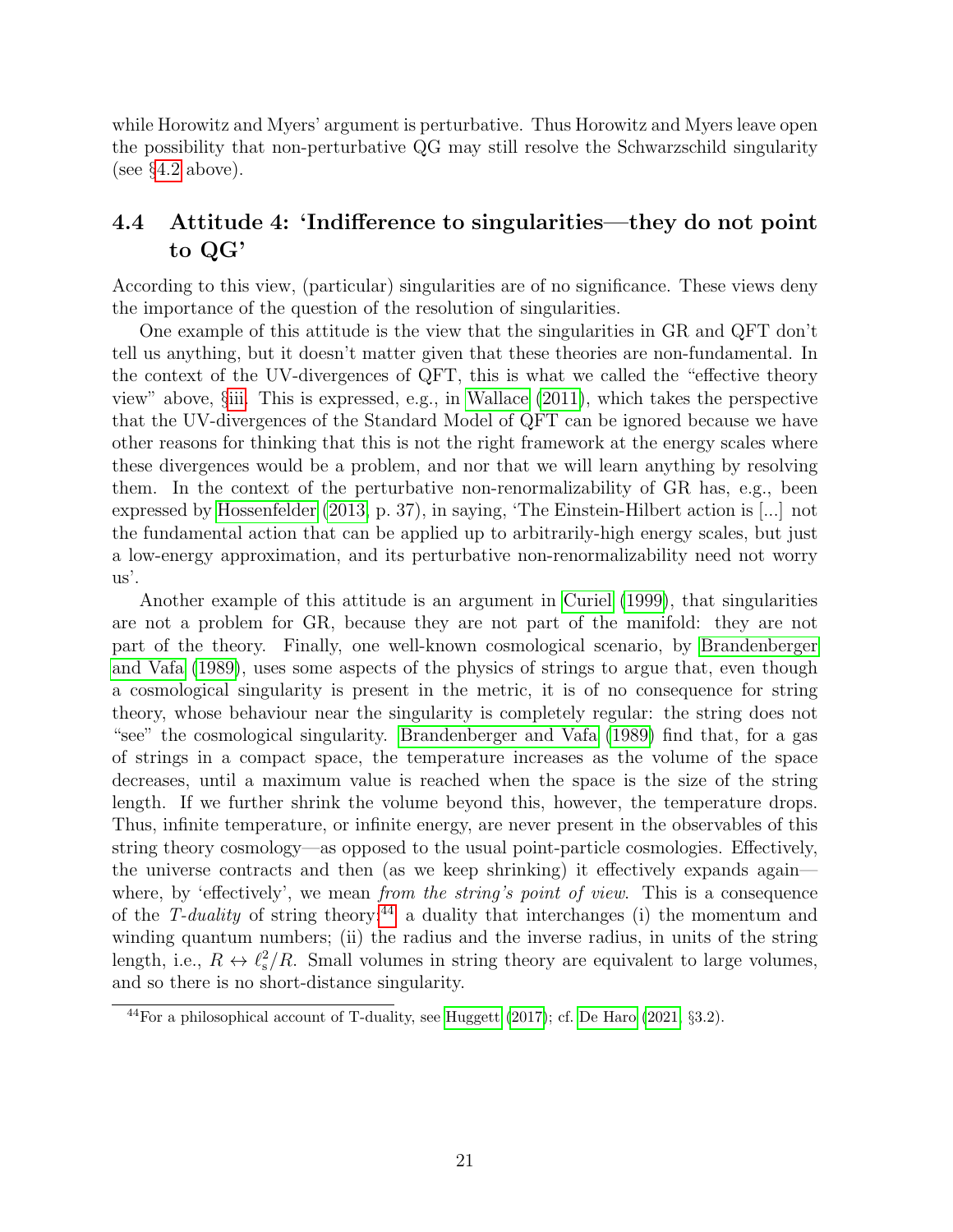while Horowitz and Myers' argument is perturbative. Thus Horowitz and Myers leave open the possibility that non-perturbative QG may still resolve the Schwarzschild singularity (see  $\S 4.2$  $\S 4.2$  above).

## <span id="page-20-0"></span>4.4 Attitude 4: 'Indifference to singularities—they do not point to QG'

According to this view, (particular) singularities are of no significance. These views deny the importance of the question of the resolution of singularities.

One example of this attitude is the view that the singularities in GR and QFT don't tell us anything, but it doesn't matter given that these theories are non-fundamental. In the context of the UV-divergences of QFT, this is what we called the "effective theory view" above, §[iii.](#page-13-6) This is expressed, e.g., in [Wallace](#page-25-9) [\(2011\)](#page-25-9), which takes the perspective that the UV-divergences of the Standard Model of QFT can be ignored because we have other reasons for thinking that this is not the right framework at the energy scales where these divergences would be a problem, and nor that we will learn anything by resolving them. In the context of the perturbative non-renormalizability of GR has, e.g., been expressed by [Hossenfelder](#page-24-13) [\(2013,](#page-24-13) p. 37), in saying, 'The Einstein-Hilbert action is [...] not the fundamental action that can be applied up to arbitrarily-high energy scales, but just a low-energy approximation, and its perturbative non-renormalizability need not worry us'.

Another example of this attitude is an argument in [Curiel](#page-23-1) [\(1999\)](#page-23-1), that singularities are not a problem for GR, because they are not part of the manifold: they are not part of the theory. Finally, one well-known cosmological scenario, by [Brandenberger](#page-23-17) [and Vafa](#page-23-17) [\(1989\)](#page-23-17), uses some aspects of the physics of strings to argue that, even though a cosmological singularity is present in the metric, it is of no consequence for string theory, whose behaviour near the singularity is completely regular: the string does not "see" the cosmological singularity. [Brandenberger and Vafa](#page-23-17) [\(1989\)](#page-23-17) find that, for a gas of strings in a compact space, the temperature increases as the volume of the space decreases, until a maximum value is reached when the space is the size of the string length. If we further shrink the volume beyond this, however, the temperature drops. Thus, infinite temperature, or infinite energy, are never present in the observables of this string theory cosmology—as opposed to the usual point-particle cosmologies. Effectively, the universe contracts and then (as we keep shrinking) it effectively expands again where, by 'effectively', we mean *from the string's point of view*. This is a consequence of the T-duality of string theory:<sup>[44](#page-20-1)</sup> a duality that interchanges (i) the momentum and winding quantum numbers; (ii) the radius and the inverse radius, in units of the string length, i.e.,  $R \leftrightarrow \ell_s^2/R$ . Small volumes in string theory are equivalent to large volumes, and so there is no short-distance singularity.

<span id="page-20-1"></span> $\frac{44}{100}$  a philosophical account of T-duality, see [Huggett](#page-24-16) [\(2017\)](#page-24-16); cf. [De Haro](#page-23-18) [\(2021,](#page-23-18) §3.2).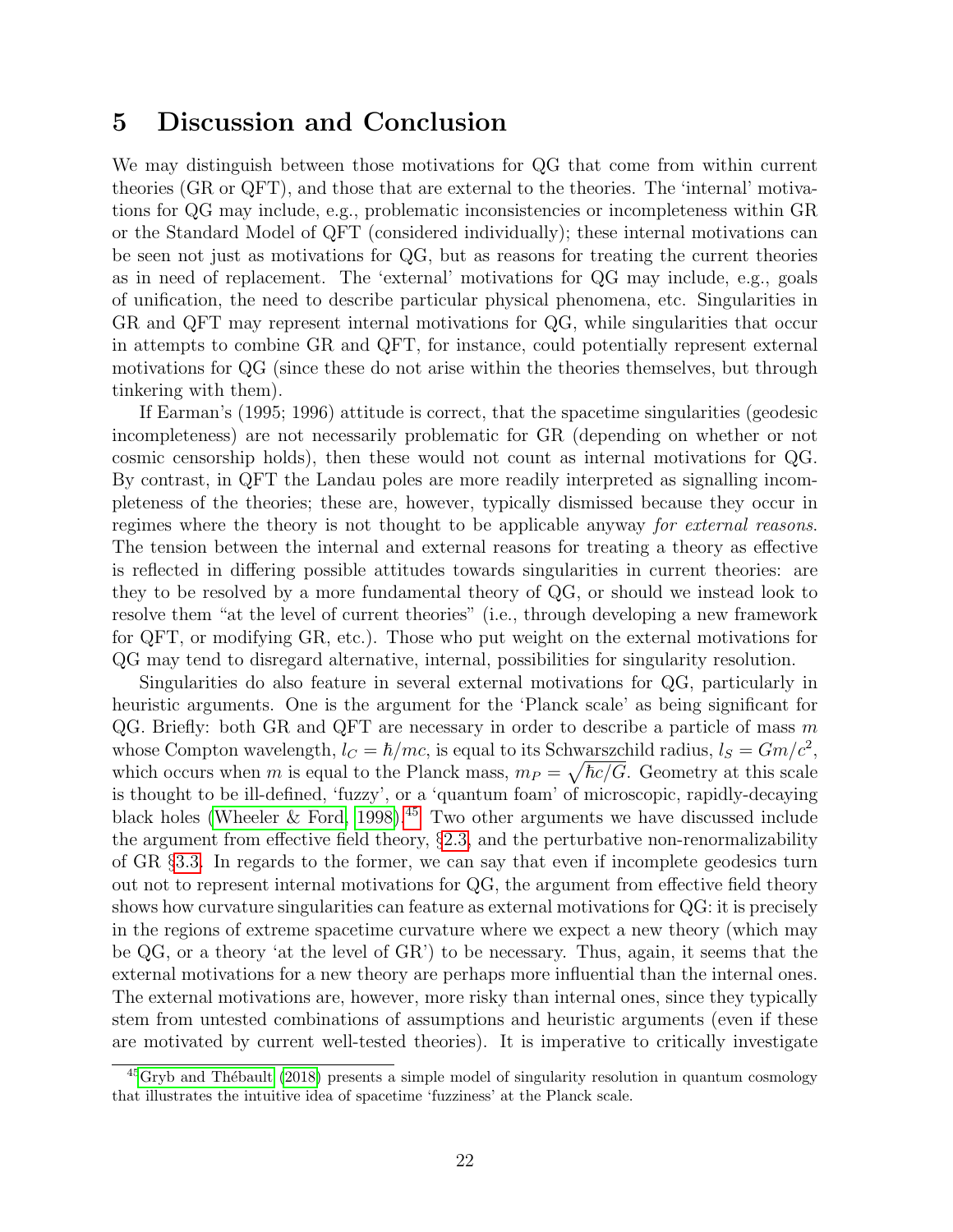## <span id="page-21-0"></span>5 Discussion and Conclusion

We may distinguish between those motivations for QG that come from within current theories (GR or QFT), and those that are external to the theories. The 'internal' motivations for QG may include, e.g., problematic inconsistencies or incompleteness within GR or the Standard Model of QFT (considered individually); these internal motivations can be seen not just as motivations for QG, but as reasons for treating the current theories as in need of replacement. The 'external' motivations for QG may include, e.g., goals of unification, the need to describe particular physical phenomena, etc. Singularities in GR and QFT may represent internal motivations for QG, while singularities that occur in attempts to combine GR and QFT, for instance, could potentially represent external motivations for QG (since these do not arise within the theories themselves, but through tinkering with them).

If Earman's (1995; 1996) attitude is correct, that the spacetime singularities (geodesic incompleteness) are not necessarily problematic for GR (depending on whether or not cosmic censorship holds), then these would not count as internal motivations for QG. By contrast, in QFT the Landau poles are more readily interpreted as signalling incompleteness of the theories; these are, however, typically dismissed because they occur in regimes where the theory is not thought to be applicable anyway for external reasons. The tension between the internal and external reasons for treating a theory as effective is reflected in differing possible attitudes towards singularities in current theories: are they to be resolved by a more fundamental theory of QG, or should we instead look to resolve them "at the level of current theories" (i.e., through developing a new framework for QFT, or modifying GR, etc.). Those who put weight on the external motivations for QG may tend to disregard alternative, internal, possibilities for singularity resolution.

Singularities do also feature in several external motivations for QG, particularly in heuristic arguments. One is the argument for the 'Planck scale' as being significant for QG. Briefly: both GR and QFT are necessary in order to describe a particle of mass  $m$ whose Compton wavelength,  $l_C = \hbar/mc$ , is equal to its Schwarszchild radius,  $l_S = Gm/c^2$ , which occurs when m is equal to the Planck mass,  $m_P = \sqrt{\hbar c/G}$ . Geometry at this scale is thought to be ill-defined, 'fuzzy', or a 'quantum foam' of microscopic, rapidly-decaying black holes (Wheeler  $\&$  Ford, 1998).<sup>[45](#page-21-1)</sup> Two other arguments we have discussed include the argument from effective field theory,  $\S 2.3$ , and the perturbative non-renormalizability of GR §[3.3.](#page-12-0) In regards to the former, we can say that even if incomplete geodesics turn out not to represent internal motivations for QG, the argument from effective field theory shows how curvature singularities can feature as external motivations for QG: it is precisely in the regions of extreme spacetime curvature where we expect a new theory (which may be QG, or a theory 'at the level of GR') to be necessary. Thus, again, it seems that the external motivations for a new theory are perhaps more influential than the internal ones. The external motivations are, however, more risky than internal ones, since they typically stem from untested combinations of assumptions and heuristic arguments (even if these are motivated by current well-tested theories). It is imperative to critically investigate

<span id="page-21-1"></span> $^{45}$ Gryb and Thébault [\(2018\)](#page-24-17) presents a simple model of singularity resolution in quantum cosmology that illustrates the intuitive idea of spacetime 'fuzziness' at the Planck scale.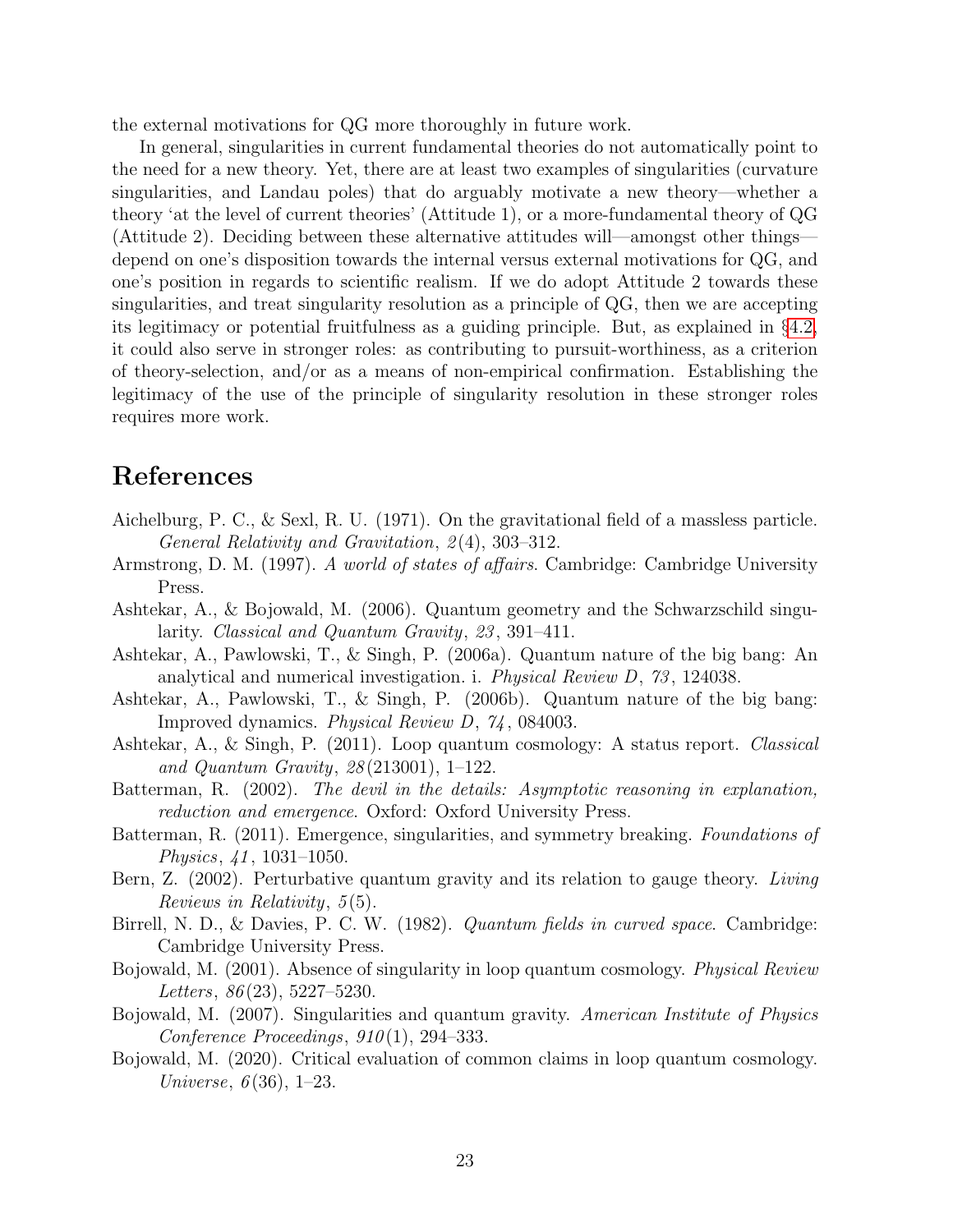the external motivations for QG more thoroughly in future work.

In general, singularities in current fundamental theories do not automatically point to the need for a new theory. Yet, there are at least two examples of singularities (curvature singularities, and Landau poles) that do arguably motivate a new theory—whether a theory 'at the level of current theories' (Attitude 1), or a more-fundamental theory of QG (Attitude 2). Deciding between these alternative attitudes will—amongst other things depend on one's disposition towards the internal versus external motivations for QG, and one's position in regards to scientific realism. If we do adopt Attitude 2 towards these singularities, and treat singularity resolution as a principle of QG, then we are accepting its legitimacy or potential fruitfulness as a guiding principle. But, as explained in §[4.2,](#page-16-0) it could also serve in stronger roles: as contributing to pursuit-worthiness, as a criterion of theory-selection, and/or as a means of non-empirical confirmation. Establishing the legitimacy of the use of the principle of singularity resolution in these stronger roles requires more work.

## <span id="page-22-0"></span>References

- <span id="page-22-4"></span>Aichelburg, P. C., & Sexl, R. U. (1971). On the gravitational field of a massless particle. General Relativity and Gravitation, 2 (4), 303–312.
- <span id="page-22-2"></span>Armstrong, D. M. (1997). A world of states of affairs. Cambridge: Cambridge University Press.
- <span id="page-22-8"></span>Ashtekar, A., & Bojowald, M. (2006). Quantum geometry and the Schwarzschild singularity. Classical and Quantum Gravity, 23, 391-411.
- <span id="page-22-11"></span>Ashtekar, A., Pawlowski, T., & Singh, P. (2006a). Quantum nature of the big bang: An analytical and numerical investigation. i. Physical Review D, 73 , 124038.
- <span id="page-22-12"></span>Ashtekar, A., Pawlowski, T., & Singh, P. (2006b). Quantum nature of the big bang: Improved dynamics. Physical Review D, 74 , 084003.
- <span id="page-22-9"></span>Ashtekar, A., & Singh, P. (2011). Loop quantum cosmology: A status report. Classical and Quantum Gravity, 28 (213001), 1–122.
- <span id="page-22-13"></span>Batterman, R. (2002). The devil in the details: Asymptotic reasoning in explanation, reduction and emergence. Oxford: Oxford University Press.
- <span id="page-22-6"></span>Batterman, R. (2011). Emergence, singularities, and symmetry breaking. Foundations of Physics,  $41, 1031-1050$ .
- <span id="page-22-5"></span>Bern, Z. (2002). Perturbative quantum gravity and its relation to gauge theory. Living Reviews in Relativity, 5 (5).
- <span id="page-22-3"></span>Birrell, N. D., & Davies, P. C. W. (1982). Quantum fields in curved space. Cambridge: Cambridge University Press.
- <span id="page-22-7"></span>Bojowald, M. (2001). Absence of singularity in loop quantum cosmology. Physical Review Letters,  $86(23)$ , 5227–5230.
- <span id="page-22-1"></span>Bojowald, M. (2007). Singularities and quantum gravity. American Institute of Physics Conference Proceedings,  $910(1)$ ,  $294-333$ .
- <span id="page-22-10"></span>Bojowald, M. (2020). Critical evaluation of common claims in loop quantum cosmology. Universe,  $6(36)$ , 1–23.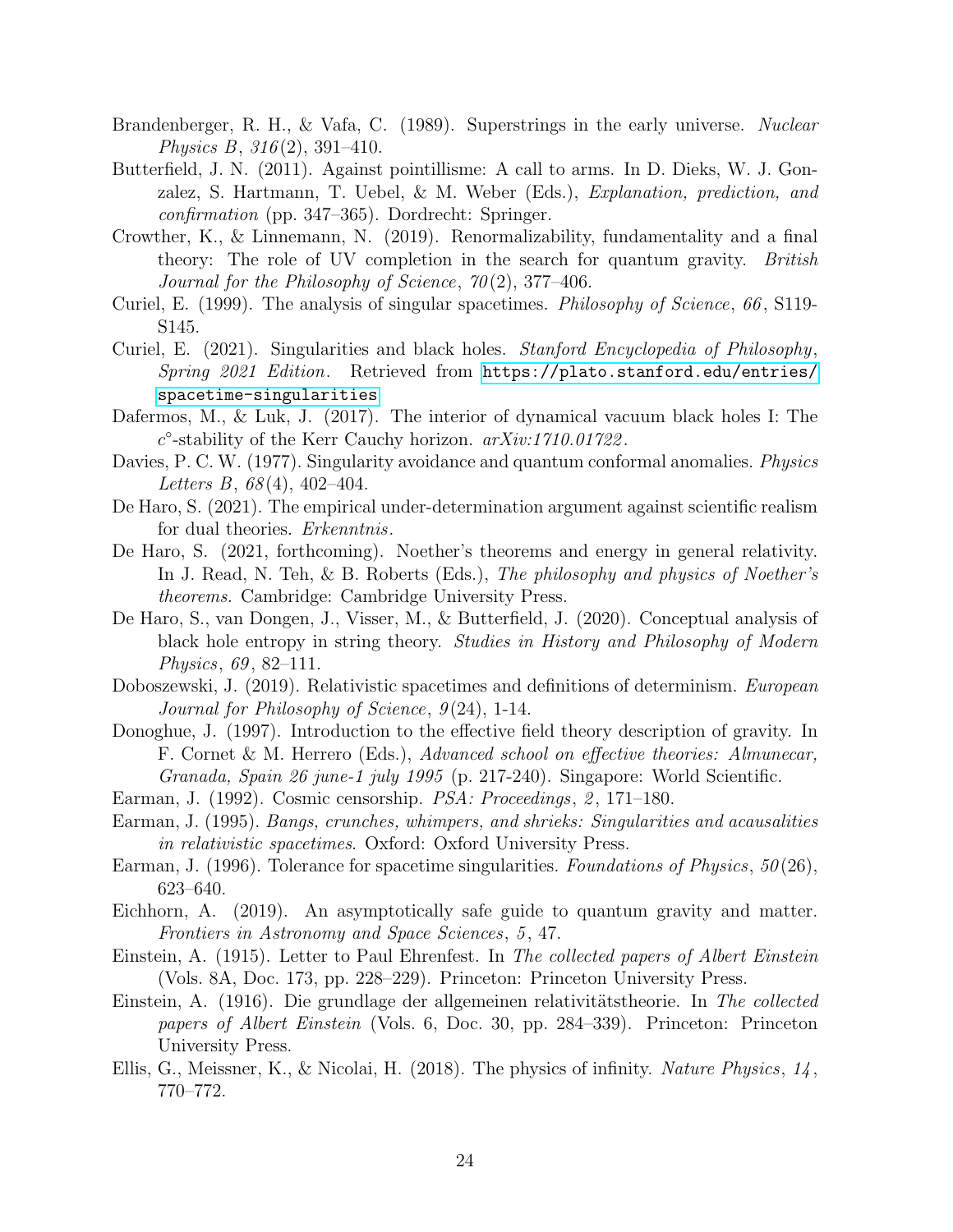- <span id="page-23-17"></span>Brandenberger, R. H., & Vafa, C. (1989). Superstrings in the early universe. Nuclear Physics B,  $316(2)$ , 391-410.
- <span id="page-23-9"></span>Butterfield, J. N. (2011). Against pointillisme: A call to arms. In D. Dieks, W. J. Gonzalez, S. Hartmann, T. Uebel, & M. Weber (Eds.), Explanation, prediction, and confirmation (pp. 347–365). Dordrecht: Springer.
- <span id="page-23-14"></span>Crowther, K., & Linnemann, N. (2019). Renormalizability, fundamentality and a final theory: The role of UV completion in the search for quantum gravity. *British* Journal for the Philosophy of Science,  $70(2)$ , 377-406.
- <span id="page-23-1"></span>Curiel, E. (1999). The analysis of singular spacetimes. Philosophy of Science, 66 , S119- S145.
- <span id="page-23-0"></span>Curiel, E. (2021). Singularities and black holes. Stanford Encyclopedia of Philosophy, Spring 2021 Edition. Retrieved from [https://plato.stanford.edu/entries/](https://plato.stanford.edu/entries/spacetime-singularities) [spacetime-singularities](https://plato.stanford.edu/entries/spacetime-singularities)
- <span id="page-23-5"></span>Dafermos, M., & Luk, J. (2017). The interior of dynamical vacuum black holes I: The  $c^{\circ}$ -stability of the Kerr Cauchy horizon.  $arXiv:1710.01722$ .
- <span id="page-23-11"></span>Davies, P. C. W. (1977). Singularity avoidance and quantum conformal anomalies. *Physics* Letters B,  $68(4)$ ,  $402-404$ .
- <span id="page-23-18"></span>De Haro, S. (2021). The empirical under-determination argument against scientific realism for dual theories. Erkenntnis.
- <span id="page-23-10"></span>De Haro, S. (2021, forthcoming). Noether's theorems and energy in general relativity. In J. Read, N. Teh, & B. Roberts (Eds.), The philosophy and physics of Noether's theorems. Cambridge: Cambridge University Press.
- <span id="page-23-15"></span>De Haro, S., van Dongen, J., Visser, M., & Butterfield, J. (2020). Conceptual analysis of black hole entropy in string theory. Studies in History and Philosophy of Modern Physics, 69, 82–111.
- <span id="page-23-6"></span>Doboszewski, J. (2019). Relativistic spacetimes and definitions of determinism. European Journal for Philosophy of Science,  $9(24)$ , 1-14.
- <span id="page-23-12"></span>Donoghue, J. (1997). Introduction to the effective field theory description of gravity. In F. Cornet & M. Herrero (Eds.), Advanced school on effective theories: Almunecar, Granada, Spain 26 june-1 july 1995 (p. 217-240). Singapore: World Scientific.
- <span id="page-23-4"></span>Earman, J. (1992). Cosmic censorship. *PSA: Proceedings*, 2, 171–180.
- <span id="page-23-3"></span>Earman, J. (1995). Bangs, crunches, whimpers, and shrieks: Singularities and acausalities in relativistic spacetimes. Oxford: Oxford University Press.
- <span id="page-23-2"></span>Earman, J. (1996). Tolerance for spacetime singularities. Foundations of Physics,  $50(26)$ , 623–640.
- <span id="page-23-13"></span>Eichhorn, A. (2019). An asymptotically safe guide to quantum gravity and matter. Frontiers in Astronomy and Space Sciences, 5 , 47.
- <span id="page-23-8"></span>Einstein, A. (1915). Letter to Paul Ehrenfest. In The collected papers of Albert Einstein (Vols. 8A, Doc. 173, pp. 228–229). Princeton: Princeton University Press.
- <span id="page-23-7"></span>Einstein, A. (1916). Die grundlage der allgemeinen relativitätstheorie. In The collected papers of Albert Einstein (Vols. 6, Doc. 30, pp. 284–339). Princeton: Princeton University Press.
- <span id="page-23-16"></span>Ellis, G., Meissner, K., & Nicolai, H. (2018). The physics of infinity. Nature Physics, 14, 770–772.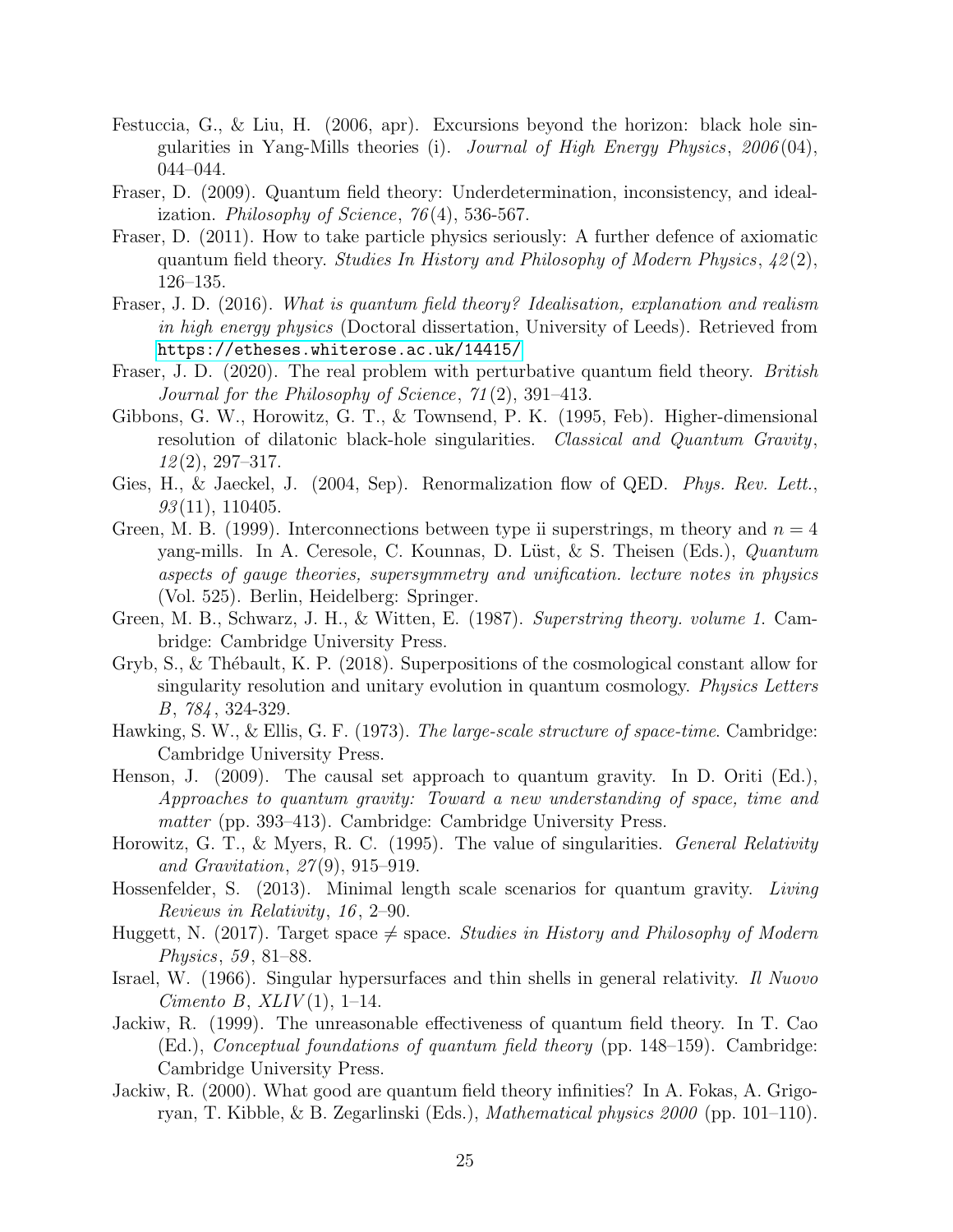- <span id="page-24-14"></span>Festuccia, G., & Liu, H. (2006, apr). Excursions beyond the horizon: black hole singularities in Yang-Mills theories (i). Journal of High Energy Physics,  $2006(04)$ , 044–044.
- <span id="page-24-10"></span>Fraser, D. (2009). Quantum field theory: Underdetermination, inconsistency, and idealization. Philosophy of Science,  $76(4)$ , 536-567.
- <span id="page-24-5"></span>Fraser, D. (2011). How to take particle physics seriously: A further defence of axiomatic quantum field theory. Studies In History and Philosophy of Modern Physics,  $42(2)$ , 126–135.
- <span id="page-24-4"></span>Fraser, J. D. (2016). What is quantum field theory? Idealisation, explanation and realism in high energy physics (Doctoral dissertation, University of Leeds). Retrieved from <https://etheses.whiterose.ac.uk/14415/>
- <span id="page-24-6"></span>Fraser, J. D. (2020). The real problem with perturbative quantum field theory. British Journal for the Philosophy of Science, 71 (2), 391–413.
- <span id="page-24-11"></span>Gibbons, G. W., Horowitz, G. T., & Townsend, P. K. (1995, Feb). Higher-dimensional resolution of dilatonic black-hole singularities. Classical and Quantum Gravity,  $12(2), 297-317.$
- <span id="page-24-7"></span>Gies, H., & Jaeckel, J. (2004, Sep). Renormalization flow of QED. Phys. Rev. Lett.,  $93(11), 110405.$
- <span id="page-24-1"></span>Green, M. B. (1999). Interconnections between type ii superstrings, m theory and  $n = 4$ yang-mills. In A. Ceresole, C. Kounnas, D. Lüst, & S. Theisen (Eds.),  $Quantum$ aspects of gauge theories, supersymmetry and unification. lecture notes in physics (Vol. 525). Berlin, Heidelberg: Springer.
- <span id="page-24-2"></span>Green, M. B., Schwarz, J. H., & Witten, E. (1987). Superstring theory. volume 1. Cambridge: Cambridge University Press.
- <span id="page-24-17"></span>Gryb, S., & Thébault, K. P. (2018). Superpositions of the cosmological constant allow for singularity resolution and unitary evolution in quantum cosmology. Physics Letters B, 784 , 324-329.
- <span id="page-24-0"></span>Hawking, S. W., & Ellis, G. F. (1973). The large-scale structure of space-time. Cambridge: Cambridge University Press.
- <span id="page-24-12"></span>Henson, J. (2009). The causal set approach to quantum gravity. In D. Oriti (Ed.), Approaches to quantum gravity: Toward a new understanding of space, time and matter (pp. 393–413). Cambridge: Cambridge University Press.
- <span id="page-24-15"></span>Horowitz, G. T., & Myers, R. C. (1995). The value of singularities. *General Relativity* and Gravitation, 27(9), 915–919.
- <span id="page-24-13"></span>Hossenfelder, S. (2013). Minimal length scale scenarios for quantum gravity. Living Reviews in Relativity, 16 , 2–90.
- <span id="page-24-16"></span>Huggett, N. (2017). Target space  $\neq$  space. Studies in History and Philosophy of Modern Physics, 59 , 81–88.
- <span id="page-24-3"></span>Israel, W. (1966). Singular hypersurfaces and thin shells in general relativity. Il Nuovo Cimento B,  $XLIV(1)$ , 1–14.
- <span id="page-24-8"></span>Jackiw, R. (1999). The unreasonable effectiveness of quantum field theory. In T. Cao (Ed.), Conceptual foundations of quantum field theory (pp. 148–159). Cambridge: Cambridge University Press.
- <span id="page-24-9"></span>Jackiw, R. (2000). What good are quantum field theory infinities? In A. Fokas, A. Grigoryan, T. Kibble, & B. Zegarlinski (Eds.), Mathematical physics 2000 (pp. 101–110).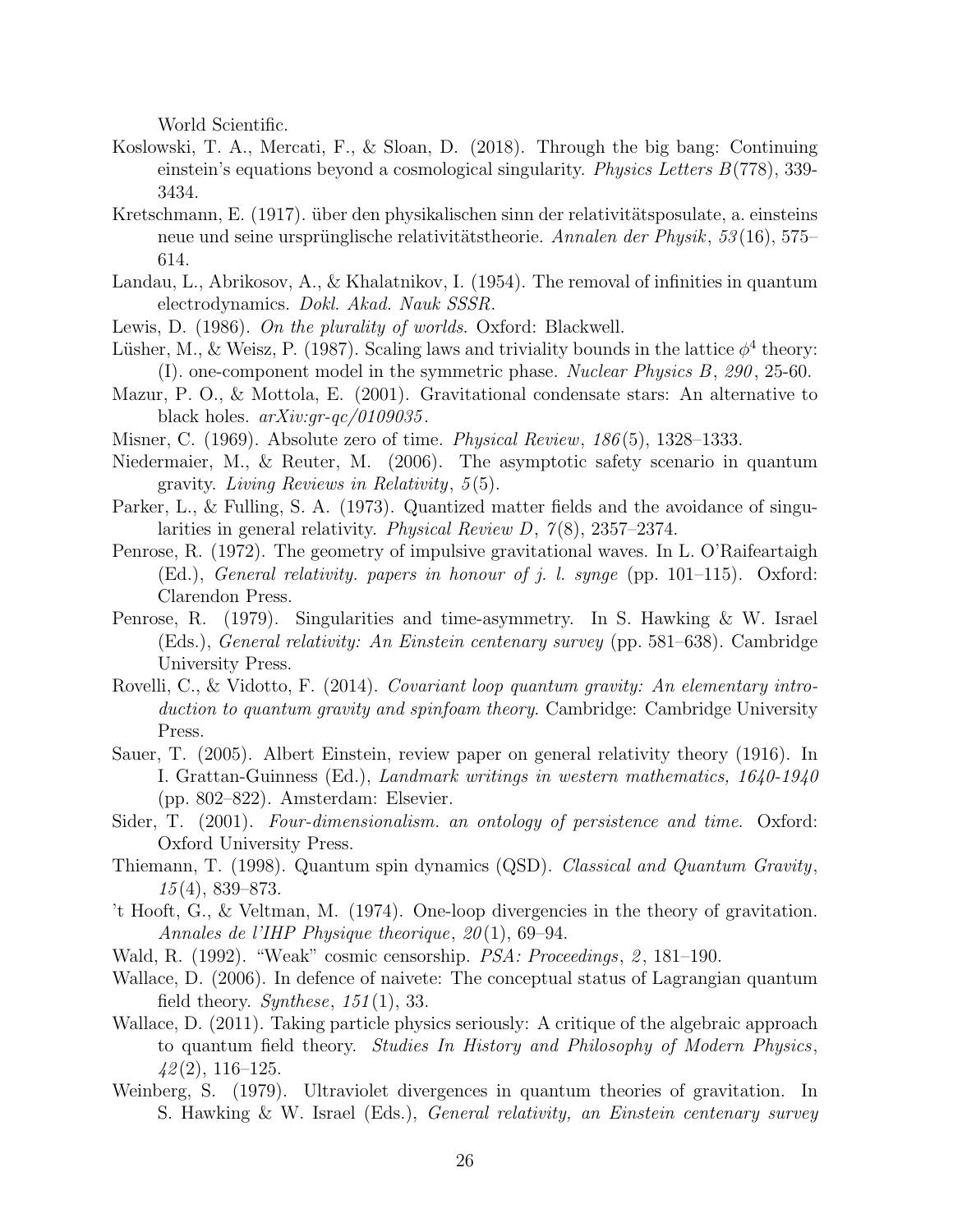World Scientific.

- <span id="page-25-17"></span>Koslowski, T. A., Mercati, F., & Sloan, D. (2018). Through the big bang: Continuing einstein's equations beyond a cosmological singularity. *Physics Letters B* $(778)$ , 339-3434.
- <span id="page-25-2"></span>Kretschmann, E. (1917). über den physikalischen sinn der relativitätsposulate, a. einsteins neue und seine ursprünglische relativitätstheorie. Annalen der Physik, 53(16), 575– 614.
- <span id="page-25-11"></span>Landau, L., Abrikosov, A., & Khalatnikov, I. (1954). The removal of infinities in quantum electrodynamics. Dokl. Akad. Nauk SSSR.
- <span id="page-25-4"></span>Lewis, D. (1986). On the plurality of worlds. Oxford: Blackwell.
- <span id="page-25-12"></span>Lüsher, M., & Weisz, P. (1987). Scaling laws and triviality bounds in the lattice  $\phi^4$  theory: (I). one-component model in the symmetric phase. Nuclear Physics  $B$ , 290, 25-60.
- <span id="page-25-16"></span>Mazur, P. O., & Mottola, E. (2001). Gravitational condensate stars: An alternative to black holes.  $arXiv:qr\text{-}qc/0109035$ .
- <span id="page-25-15"></span>Misner, C. (1969). Absolute zero of time. Physical Review, 186 (5), 1328–1333.
- <span id="page-25-7"></span>Niedermaier, M., & Reuter, M. (2006). The asymptotic safety scenario in quantum gravity. Living Reviews in Relativity, 5 (5).
- <span id="page-25-6"></span>Parker, L., & Fulling, S. A. (1973). Quantized matter fields and the avoidance of singularities in general relativity. Physical Review D,  $7(8)$ , 2357–2374.
- <span id="page-25-10"></span>Penrose, R. (1972). The geometry of impulsive gravitational waves. In L. O'Raifeartaigh (Ed.), *General relativity. papers in honour of j. l. synge* (pp.  $101-115$ ). Oxford: Clarendon Press.
- <span id="page-25-0"></span>Penrose, R. (1979). Singularities and time-asymmetry. In S. Hawking & W. Israel (Eds.), General relativity: An Einstein centenary survey (pp. 581–638). Cambridge University Press.
- <span id="page-25-18"></span>Rovelli, C., & Vidotto, F. (2014). Covariant loop quantum gravity: An elementary introduction to quantum gravity and spinfoam theory. Cambridge: Cambridge University Press.
- <span id="page-25-3"></span>Sauer, T. (2005). Albert Einstein, review paper on general relativity theory (1916). In I. Grattan-Guinness (Ed.), Landmark writings in western mathematics, 1640-1940 (pp. 802–822). Amsterdam: Elsevier.
- <span id="page-25-5"></span>Sider, T. (2001). Four-dimensionalism. an ontology of persistence and time. Oxford: Oxford University Press.
- <span id="page-25-19"></span>Thiemann, T. (1998). Quantum spin dynamics (QSD). Classical and Quantum Gravity,  $15(4)$ , 839–873.
- <span id="page-25-13"></span>'t Hooft, G., & Veltman, M. (1974). One-loop divergencies in the theory of gravitation. Annales de l'IHP Physique theorique, 20 (1), 69–94.
- <span id="page-25-1"></span>Wald, R. (1992). "Weak" cosmic censorship. *PSA: Proceedings*, 2, 181–190.
- <span id="page-25-8"></span>Wallace, D. (2006). In defence of naivete: The conceptual status of Lagrangian quantum field theory. Synthese,  $151(1)$ , 33.
- <span id="page-25-9"></span>Wallace, D. (2011). Taking particle physics seriously: A critique of the algebraic approach to quantum field theory. Studies In History and Philosophy of Modern Physics,  $42(2), 116-125.$
- <span id="page-25-14"></span>Weinberg, S. (1979). Ultraviolet divergences in quantum theories of gravitation. In S. Hawking & W. Israel (Eds.), General relativity, an Einstein centenary survey